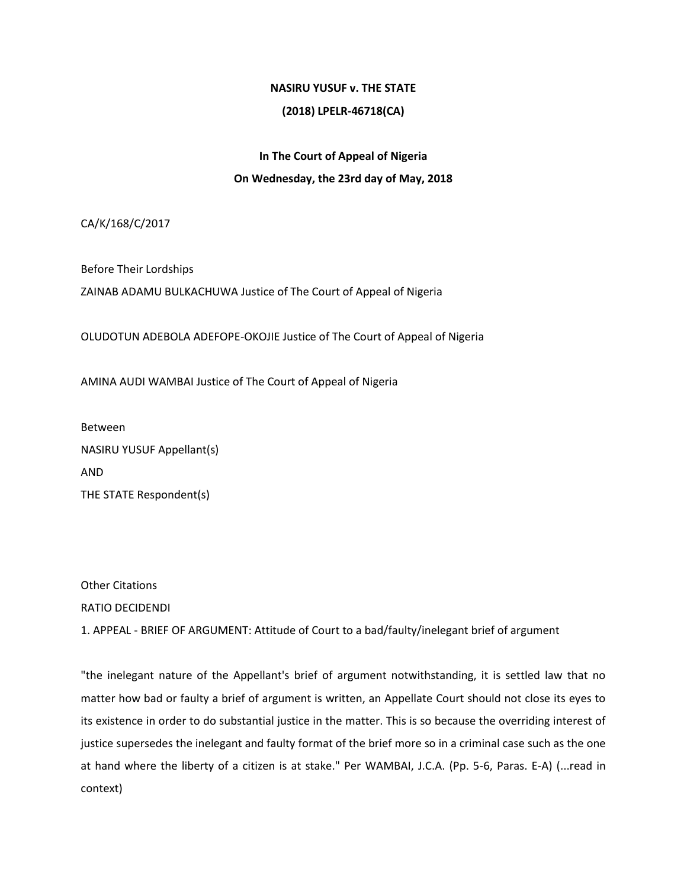# **NASIRU YUSUF v. THE STATE**

# **(2018) LPELR-46718(CA)**

# **In The Court of Appeal of Nigeria On Wednesday, the 23rd day of May, 2018**

CA/K/168/C/2017

Before Their Lordships ZAINAB ADAMU BULKACHUWA Justice of The Court of Appeal of Nigeria

OLUDOTUN ADEBOLA ADEFOPE-OKOJIE Justice of The Court of Appeal of Nigeria

AMINA AUDI WAMBAI Justice of The Court of Appeal of Nigeria

Between NASIRU YUSUF Appellant(s) AND THE STATE Respondent(s)

Other Citations RATIO DECIDENDI

1. APPEAL - BRIEF OF ARGUMENT: Attitude of Court to a bad/faulty/inelegant brief of argument

"the inelegant nature of the Appellant's brief of argument notwithstanding, it is settled law that no matter how bad or faulty a brief of argument is written, an Appellate Court should not close its eyes to its existence in order to do substantial justice in the matter. This is so because the overriding interest of justice supersedes the inelegant and faulty format of the brief more so in a criminal case such as the one at hand where the liberty of a citizen is at stake." Per WAMBAI, J.C.A. (Pp. 5-6, Paras. E-A) (...read in context)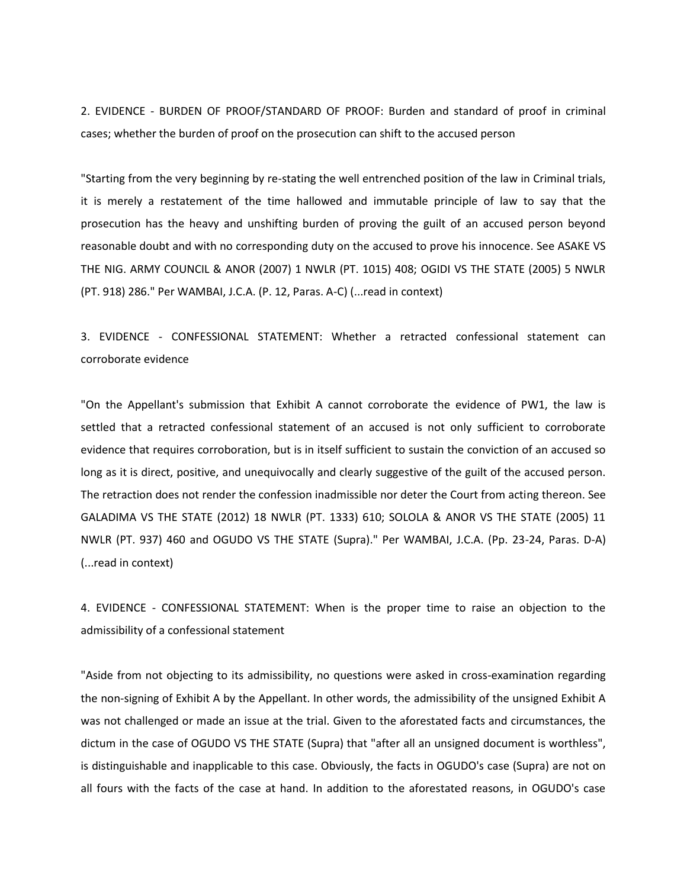2. EVIDENCE - BURDEN OF PROOF/STANDARD OF PROOF: Burden and standard of proof in criminal cases; whether the burden of proof on the prosecution can shift to the accused person

"Starting from the very beginning by re-stating the well entrenched position of the law in Criminal trials, it is merely a restatement of the time hallowed and immutable principle of law to say that the prosecution has the heavy and unshifting burden of proving the guilt of an accused person beyond reasonable doubt and with no corresponding duty on the accused to prove his innocence. See ASAKE VS THE NIG. ARMY COUNCIL & ANOR (2007) 1 NWLR (PT. 1015) 408; OGIDI VS THE STATE (2005) 5 NWLR (PT. 918) 286." Per WAMBAI, J.C.A. (P. 12, Paras. A-C) (...read in context)

3. EVIDENCE - CONFESSIONAL STATEMENT: Whether a retracted confessional statement can corroborate evidence

"On the Appellant's submission that Exhibit A cannot corroborate the evidence of PW1, the law is settled that a retracted confessional statement of an accused is not only sufficient to corroborate evidence that requires corroboration, but is in itself sufficient to sustain the conviction of an accused so long as it is direct, positive, and unequivocally and clearly suggestive of the guilt of the accused person. The retraction does not render the confession inadmissible nor deter the Court from acting thereon. See GALADIMA VS THE STATE (2012) 18 NWLR (PT. 1333) 610; SOLOLA & ANOR VS THE STATE (2005) 11 NWLR (PT. 937) 460 and OGUDO VS THE STATE (Supra)." Per WAMBAI, J.C.A. (Pp. 23-24, Paras. D-A) (...read in context)

4. EVIDENCE - CONFESSIONAL STATEMENT: When is the proper time to raise an objection to the admissibility of a confessional statement

"Aside from not objecting to its admissibility, no questions were asked in cross-examination regarding the non-signing of Exhibit A by the Appellant. In other words, the admissibility of the unsigned Exhibit A was not challenged or made an issue at the trial. Given to the aforestated facts and circumstances, the dictum in the case of OGUDO VS THE STATE (Supra) that "after all an unsigned document is worthless", is distinguishable and inapplicable to this case. Obviously, the facts in OGUDO's case (Supra) are not on all fours with the facts of the case at hand. In addition to the aforestated reasons, in OGUDO's case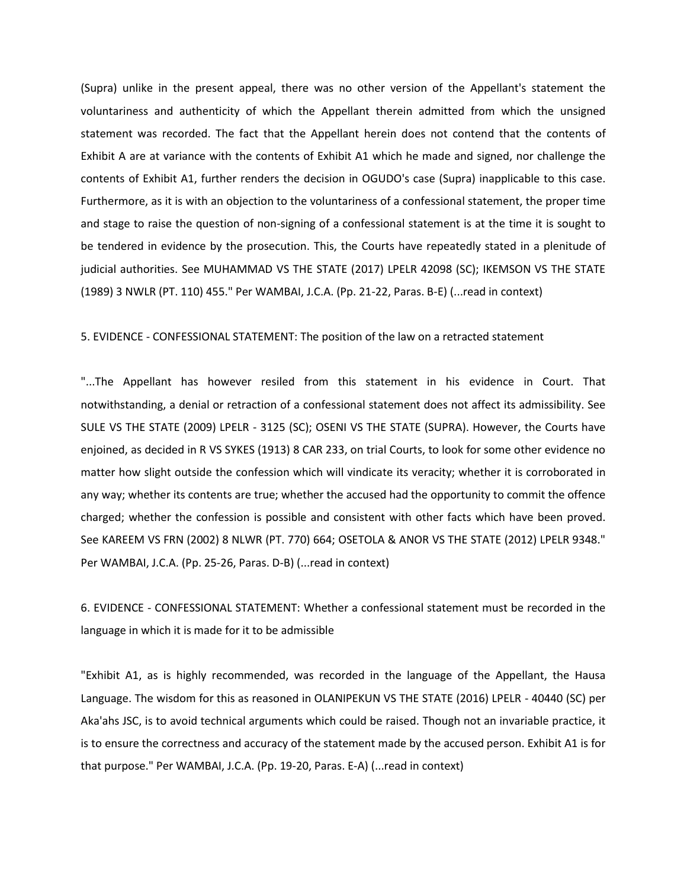(Supra) unlike in the present appeal, there was no other version of the Appellant's statement the voluntariness and authenticity of which the Appellant therein admitted from which the unsigned statement was recorded. The fact that the Appellant herein does not contend that the contents of Exhibit A are at variance with the contents of Exhibit A1 which he made and signed, nor challenge the contents of Exhibit A1, further renders the decision in OGUDO's case (Supra) inapplicable to this case. Furthermore, as it is with an objection to the voluntariness of a confessional statement, the proper time and stage to raise the question of non-signing of a confessional statement is at the time it is sought to be tendered in evidence by the prosecution. This, the Courts have repeatedly stated in a plenitude of judicial authorities. See MUHAMMAD VS THE STATE (2017) LPELR 42098 (SC); IKEMSON VS THE STATE (1989) 3 NWLR (PT. 110) 455." Per WAMBAI, J.C.A. (Pp. 21-22, Paras. B-E) (...read in context)

#### 5. EVIDENCE - CONFESSIONAL STATEMENT: The position of the law on a retracted statement

"...The Appellant has however resiled from this statement in his evidence in Court. That notwithstanding, a denial or retraction of a confessional statement does not affect its admissibility. See SULE VS THE STATE (2009) LPELR - 3125 (SC); OSENI VS THE STATE (SUPRA). However, the Courts have enjoined, as decided in R VS SYKES (1913) 8 CAR 233, on trial Courts, to look for some other evidence no matter how slight outside the confession which will vindicate its veracity; whether it is corroborated in any way; whether its contents are true; whether the accused had the opportunity to commit the offence charged; whether the confession is possible and consistent with other facts which have been proved. See KAREEM VS FRN (2002) 8 NLWR (PT. 770) 664; OSETOLA & ANOR VS THE STATE (2012) LPELR 9348." Per WAMBAI, J.C.A. (Pp. 25-26, Paras. D-B) (...read in context)

6. EVIDENCE - CONFESSIONAL STATEMENT: Whether a confessional statement must be recorded in the language in which it is made for it to be admissible

"Exhibit A1, as is highly recommended, was recorded in the language of the Appellant, the Hausa Language. The wisdom for this as reasoned in OLANIPEKUN VS THE STATE (2016) LPELR - 40440 (SC) per Aka'ahs JSC, is to avoid technical arguments which could be raised. Though not an invariable practice, it is to ensure the correctness and accuracy of the statement made by the accused person. Exhibit A1 is for that purpose." Per WAMBAI, J.C.A. (Pp. 19-20, Paras. E-A) (...read in context)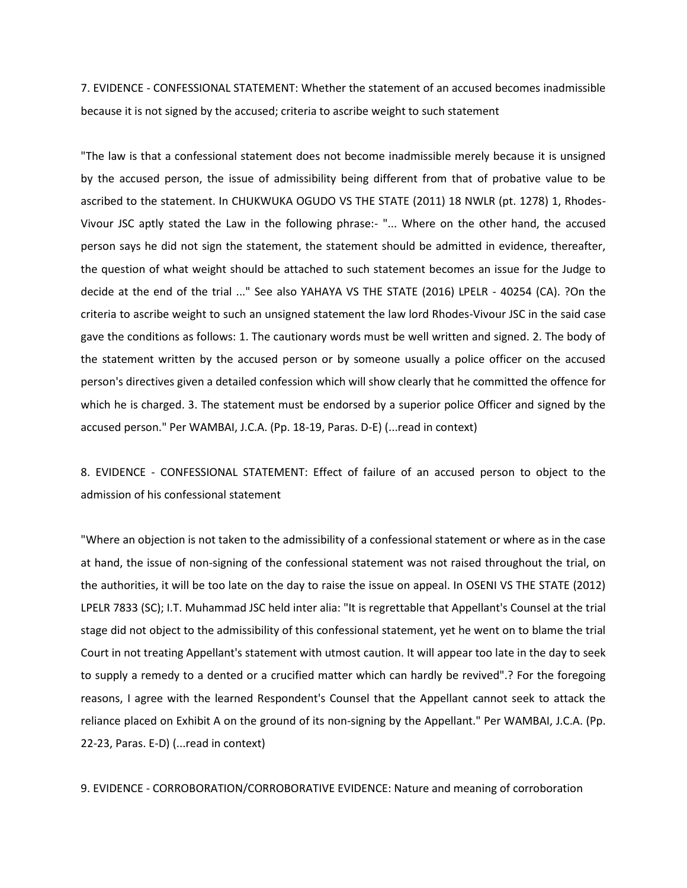7. EVIDENCE - CONFESSIONAL STATEMENT: Whether the statement of an accused becomes inadmissible because it is not signed by the accused; criteria to ascribe weight to such statement

"The law is that a confessional statement does not become inadmissible merely because it is unsigned by the accused person, the issue of admissibility being different from that of probative value to be ascribed to the statement. In CHUKWUKA OGUDO VS THE STATE (2011) 18 NWLR (pt. 1278) 1, Rhodes-Vivour JSC aptly stated the Law in the following phrase:- "... Where on the other hand, the accused person says he did not sign the statement, the statement should be admitted in evidence, thereafter, the question of what weight should be attached to such statement becomes an issue for the Judge to decide at the end of the trial ..." See also YAHAYA VS THE STATE (2016) LPELR - 40254 (CA). ?On the criteria to ascribe weight to such an unsigned statement the law lord Rhodes-Vivour JSC in the said case gave the conditions as follows: 1. The cautionary words must be well written and signed. 2. The body of the statement written by the accused person or by someone usually a police officer on the accused person's directives given a detailed confession which will show clearly that he committed the offence for which he is charged. 3. The statement must be endorsed by a superior police Officer and signed by the accused person." Per WAMBAI, J.C.A. (Pp. 18-19, Paras. D-E) (...read in context)

8. EVIDENCE - CONFESSIONAL STATEMENT: Effect of failure of an accused person to object to the admission of his confessional statement

"Where an objection is not taken to the admissibility of a confessional statement or where as in the case at hand, the issue of non-signing of the confessional statement was not raised throughout the trial, on the authorities, it will be too late on the day to raise the issue on appeal. In OSENI VS THE STATE (2012) LPELR 7833 (SC); I.T. Muhammad JSC held inter alia: "It is regrettable that Appellant's Counsel at the trial stage did not object to the admissibility of this confessional statement, yet he went on to blame the trial Court in not treating Appellant's statement with utmost caution. It will appear too late in the day to seek to supply a remedy to a dented or a crucified matter which can hardly be revived".? For the foregoing reasons, I agree with the learned Respondent's Counsel that the Appellant cannot seek to attack the reliance placed on Exhibit A on the ground of its non-signing by the Appellant." Per WAMBAI, J.C.A. (Pp. 22-23, Paras. E-D) (...read in context)

9. EVIDENCE - CORROBORATION/CORROBORATIVE EVIDENCE: Nature and meaning of corroboration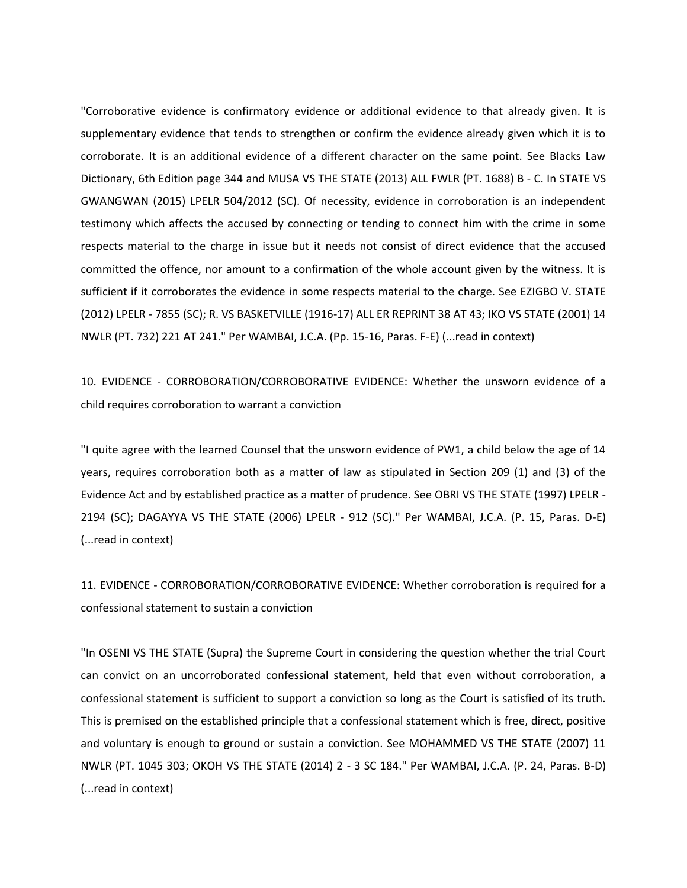"Corroborative evidence is confirmatory evidence or additional evidence to that already given. It is supplementary evidence that tends to strengthen or confirm the evidence already given which it is to corroborate. It is an additional evidence of a different character on the same point. See Blacks Law Dictionary, 6th Edition page 344 and MUSA VS THE STATE (2013) ALL FWLR (PT. 1688) B - C. In STATE VS GWANGWAN (2015) LPELR 504/2012 (SC). Of necessity, evidence in corroboration is an independent testimony which affects the accused by connecting or tending to connect him with the crime in some respects material to the charge in issue but it needs not consist of direct evidence that the accused committed the offence, nor amount to a confirmation of the whole account given by the witness. It is sufficient if it corroborates the evidence in some respects material to the charge. See EZIGBO V. STATE (2012) LPELR - 7855 (SC); R. VS BASKETVILLE (1916-17) ALL ER REPRINT 38 AT 43; IKO VS STATE (2001) 14 NWLR (PT. 732) 221 AT 241." Per WAMBAI, J.C.A. (Pp. 15-16, Paras. F-E) (...read in context)

10. EVIDENCE - CORROBORATION/CORROBORATIVE EVIDENCE: Whether the unsworn evidence of a child requires corroboration to warrant a conviction

"I quite agree with the learned Counsel that the unsworn evidence of PW1, a child below the age of 14 years, requires corroboration both as a matter of law as stipulated in Section 209 (1) and (3) of the Evidence Act and by established practice as a matter of prudence. See OBRI VS THE STATE (1997) LPELR - 2194 (SC); DAGAYYA VS THE STATE (2006) LPELR - 912 (SC)." Per WAMBAI, J.C.A. (P. 15, Paras. D-E) (...read in context)

11. EVIDENCE - CORROBORATION/CORROBORATIVE EVIDENCE: Whether corroboration is required for a confessional statement to sustain a conviction

"In OSENI VS THE STATE (Supra) the Supreme Court in considering the question whether the trial Court can convict on an uncorroborated confessional statement, held that even without corroboration, a confessional statement is sufficient to support a conviction so long as the Court is satisfied of its truth. This is premised on the established principle that a confessional statement which is free, direct, positive and voluntary is enough to ground or sustain a conviction. See MOHAMMED VS THE STATE (2007) 11 NWLR (PT. 1045 303; OKOH VS THE STATE (2014) 2 - 3 SC 184." Per WAMBAI, J.C.A. (P. 24, Paras. B-D) (...read in context)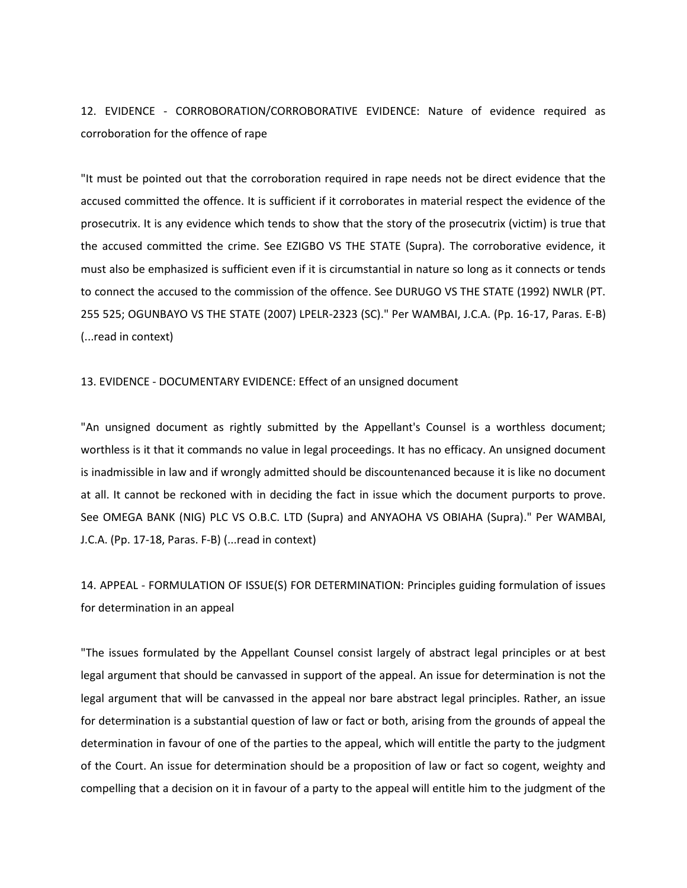12. EVIDENCE - CORROBORATION/CORROBORATIVE EVIDENCE: Nature of evidence required as corroboration for the offence of rape

"It must be pointed out that the corroboration required in rape needs not be direct evidence that the accused committed the offence. It is sufficient if it corroborates in material respect the evidence of the prosecutrix. It is any evidence which tends to show that the story of the prosecutrix (victim) is true that the accused committed the crime. See EZIGBO VS THE STATE (Supra). The corroborative evidence, it must also be emphasized is sufficient even if it is circumstantial in nature so long as it connects or tends to connect the accused to the commission of the offence. See DURUGO VS THE STATE (1992) NWLR (PT. 255 525; OGUNBAYO VS THE STATE (2007) LPELR-2323 (SC)." Per WAMBAI, J.C.A. (Pp. 16-17, Paras. E-B) (...read in context)

13. EVIDENCE - DOCUMENTARY EVIDENCE: Effect of an unsigned document

"An unsigned document as rightly submitted by the Appellant's Counsel is a worthless document; worthless is it that it commands no value in legal proceedings. It has no efficacy. An unsigned document is inadmissible in law and if wrongly admitted should be discountenanced because it is like no document at all. It cannot be reckoned with in deciding the fact in issue which the document purports to prove. See OMEGA BANK (NIG) PLC VS O.B.C. LTD (Supra) and ANYAOHA VS OBIAHA (Supra)." Per WAMBAI, J.C.A. (Pp. 17-18, Paras. F-B) (...read in context)

14. APPEAL - FORMULATION OF ISSUE(S) FOR DETERMINATION: Principles guiding formulation of issues for determination in an appeal

"The issues formulated by the Appellant Counsel consist largely of abstract legal principles or at best legal argument that should be canvassed in support of the appeal. An issue for determination is not the legal argument that will be canvassed in the appeal nor bare abstract legal principles. Rather, an issue for determination is a substantial question of law or fact or both, arising from the grounds of appeal the determination in favour of one of the parties to the appeal, which will entitle the party to the judgment of the Court. An issue for determination should be a proposition of law or fact so cogent, weighty and compelling that a decision on it in favour of a party to the appeal will entitle him to the judgment of the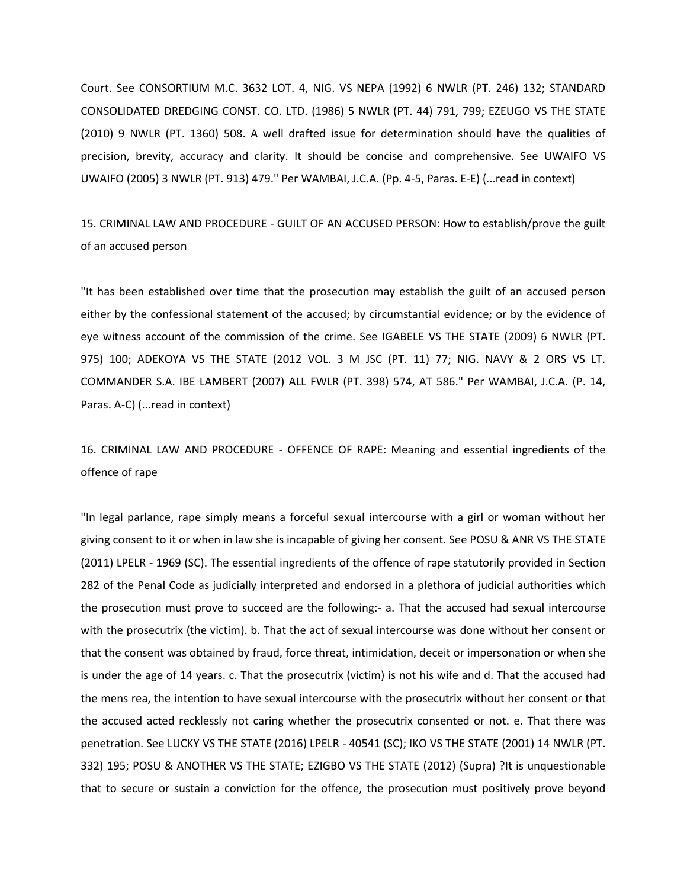Court. See CONSORTIUM M.C. 3632 LOT. 4, NIG. VS NEPA (1992) 6 NWLR (PT. 246) 132; STANDARD CONSOLIDATED DREDGING CONST. CO. LTD. (1986) 5 NWLR (PT. 44) 791, 799; EZEUGO VS THE STATE (2010) 9 NWLR (PT. 1360) 508. A well drafted issue for determination should have the qualities of precision, brevity, accuracy and clarity. It should be concise and comprehensive. See UWAIFO VS UWAIFO (2005) 3 NWLR (PT. 913) 479." Per WAMBAI, J.C.A. (Pp. 4-5, Paras. E-E) (...read in context)

15. CRIMINAL LAW AND PROCEDURE - GUILT OF AN ACCUSED PERSON: How to establish/prove the guilt of an accused person

"It has been established over time that the prosecution may establish the guilt of an accused person either by the confessional statement of the accused; by circumstantial evidence; or by the evidence of eye witness account of the commission of the crime. See IGABELE VS THE STATE (2009) 6 NWLR (PT. 975) 100; ADEKOYA VS THE STATE (2012 VOL. 3 M JSC (PT. 11) 77; NIG. NAVY & 2 ORS VS LT. COMMANDER S.A. IBE LAMBERT (2007) ALL FWLR (PT. 398) 574, AT 586." Per WAMBAI, J.C.A. (P. 14, Paras. A-C) (...read in context)

16. CRIMINAL LAW AND PROCEDURE - OFFENCE OF RAPE: Meaning and essential ingredients of the offence of rape

"In legal parlance, rape simply means a forceful sexual intercourse with a girl or woman without her giving consent to it or when in law she is incapable of giving her consent. See POSU & ANR VS THE STATE (2011) LPELR - 1969 (SC). The essential ingredients of the offence of rape statutorily provided in Section 282 of the Penal Code as judicially interpreted and endorsed in a plethora of judicial authorities which the prosecution must prove to succeed are the following:- a. That the accused had sexual intercourse with the prosecutrix (the victim). b. That the act of sexual intercourse was done without her consent or that the consent was obtained by fraud, force threat, intimidation, deceit or impersonation or when she is under the age of 14 years. c. That the prosecutrix (victim) is not his wife and d. That the accused had the mens rea, the intention to have sexual intercourse with the prosecutrix without her consent or that the accused acted recklessly not caring whether the prosecutrix consented or not. e. That there was penetration. See LUCKY VS THE STATE (2016) LPELR - 40541 (SC); IKO VS THE STATE (2001) 14 NWLR (PT. 332) 195; POSU & ANOTHER VS THE STATE; EZIGBO VS THE STATE (2012) (Supra) ?It is unquestionable that to secure or sustain a conviction for the offence, the prosecution must positively prove beyond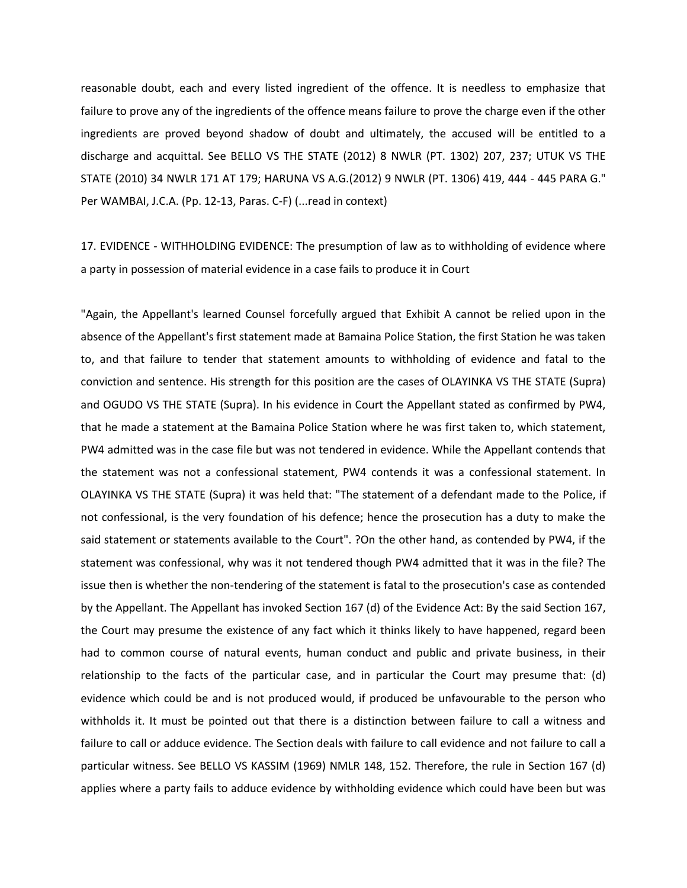reasonable doubt, each and every listed ingredient of the offence. It is needless to emphasize that failure to prove any of the ingredients of the offence means failure to prove the charge even if the other ingredients are proved beyond shadow of doubt and ultimately, the accused will be entitled to a discharge and acquittal. See BELLO VS THE STATE (2012) 8 NWLR (PT. 1302) 207, 237; UTUK VS THE STATE (2010) 34 NWLR 171 AT 179; HARUNA VS A.G.(2012) 9 NWLR (PT. 1306) 419, 444 - 445 PARA G." Per WAMBAI, J.C.A. (Pp. 12-13, Paras. C-F) (...read in context)

17. EVIDENCE - WITHHOLDING EVIDENCE: The presumption of law as to withholding of evidence where a party in possession of material evidence in a case fails to produce it in Court

"Again, the Appellant's learned Counsel forcefully argued that Exhibit A cannot be relied upon in the absence of the Appellant's first statement made at Bamaina Police Station, the first Station he was taken to, and that failure to tender that statement amounts to withholding of evidence and fatal to the conviction and sentence. His strength for this position are the cases of OLAYINKA VS THE STATE (Supra) and OGUDO VS THE STATE (Supra). In his evidence in Court the Appellant stated as confirmed by PW4, that he made a statement at the Bamaina Police Station where he was first taken to, which statement, PW4 admitted was in the case file but was not tendered in evidence. While the Appellant contends that the statement was not a confessional statement, PW4 contends it was a confessional statement. In OLAYINKA VS THE STATE (Supra) it was held that: "The statement of a defendant made to the Police, if not confessional, is the very foundation of his defence; hence the prosecution has a duty to make the said statement or statements available to the Court". ?On the other hand, as contended by PW4, if the statement was confessional, why was it not tendered though PW4 admitted that it was in the file? The issue then is whether the non-tendering of the statement is fatal to the prosecution's case as contended by the Appellant. The Appellant has invoked Section 167 (d) of the Evidence Act: By the said Section 167, the Court may presume the existence of any fact which it thinks likely to have happened, regard been had to common course of natural events, human conduct and public and private business, in their relationship to the facts of the particular case, and in particular the Court may presume that: (d) evidence which could be and is not produced would, if produced be unfavourable to the person who withholds it. It must be pointed out that there is a distinction between failure to call a witness and failure to call or adduce evidence. The Section deals with failure to call evidence and not failure to call a particular witness. See BELLO VS KASSIM (1969) NMLR 148, 152. Therefore, the rule in Section 167 (d) applies where a party fails to adduce evidence by withholding evidence which could have been but was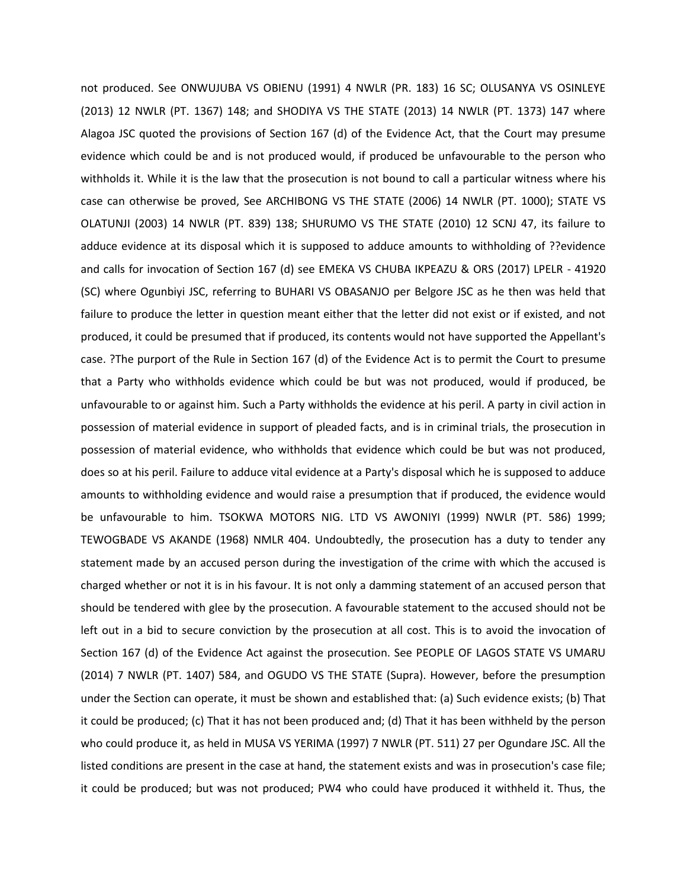not produced. See ONWUJUBA VS OBIENU (1991) 4 NWLR (PR. 183) 16 SC; OLUSANYA VS OSINLEYE (2013) 12 NWLR (PT. 1367) 148; and SHODIYA VS THE STATE (2013) 14 NWLR (PT. 1373) 147 where Alagoa JSC quoted the provisions of Section 167 (d) of the Evidence Act, that the Court may presume evidence which could be and is not produced would, if produced be unfavourable to the person who withholds it. While it is the law that the prosecution is not bound to call a particular witness where his case can otherwise be proved, See ARCHIBONG VS THE STATE (2006) 14 NWLR (PT. 1000); STATE VS OLATUNJI (2003) 14 NWLR (PT. 839) 138; SHURUMO VS THE STATE (2010) 12 SCNJ 47, its failure to adduce evidence at its disposal which it is supposed to adduce amounts to withholding of ??evidence and calls for invocation of Section 167 (d) see EMEKA VS CHUBA IKPEAZU & ORS (2017) LPELR - 41920 (SC) where Ogunbiyi JSC, referring to BUHARI VS OBASANJO per Belgore JSC as he then was held that failure to produce the letter in question meant either that the letter did not exist or if existed, and not produced, it could be presumed that if produced, its contents would not have supported the Appellant's case. ?The purport of the Rule in Section 167 (d) of the Evidence Act is to permit the Court to presume that a Party who withholds evidence which could be but was not produced, would if produced, be unfavourable to or against him. Such a Party withholds the evidence at his peril. A party in civil action in possession of material evidence in support of pleaded facts, and is in criminal trials, the prosecution in possession of material evidence, who withholds that evidence which could be but was not produced, does so at his peril. Failure to adduce vital evidence at a Party's disposal which he is supposed to adduce amounts to withholding evidence and would raise a presumption that if produced, the evidence would be unfavourable to him. TSOKWA MOTORS NIG. LTD VS AWONIYI (1999) NWLR (PT. 586) 1999; TEWOGBADE VS AKANDE (1968) NMLR 404. Undoubtedly, the prosecution has a duty to tender any statement made by an accused person during the investigation of the crime with which the accused is charged whether or not it is in his favour. It is not only a damming statement of an accused person that should be tendered with glee by the prosecution. A favourable statement to the accused should not be left out in a bid to secure conviction by the prosecution at all cost. This is to avoid the invocation of Section 167 (d) of the Evidence Act against the prosecution. See PEOPLE OF LAGOS STATE VS UMARU (2014) 7 NWLR (PT. 1407) 584, and OGUDO VS THE STATE (Supra). However, before the presumption under the Section can operate, it must be shown and established that: (a) Such evidence exists; (b) That it could be produced; (c) That it has not been produced and; (d) That it has been withheld by the person who could produce it, as held in MUSA VS YERIMA (1997) 7 NWLR (PT. 511) 27 per Ogundare JSC. All the listed conditions are present in the case at hand, the statement exists and was in prosecution's case file; it could be produced; but was not produced; PW4 who could have produced it withheld it. Thus, the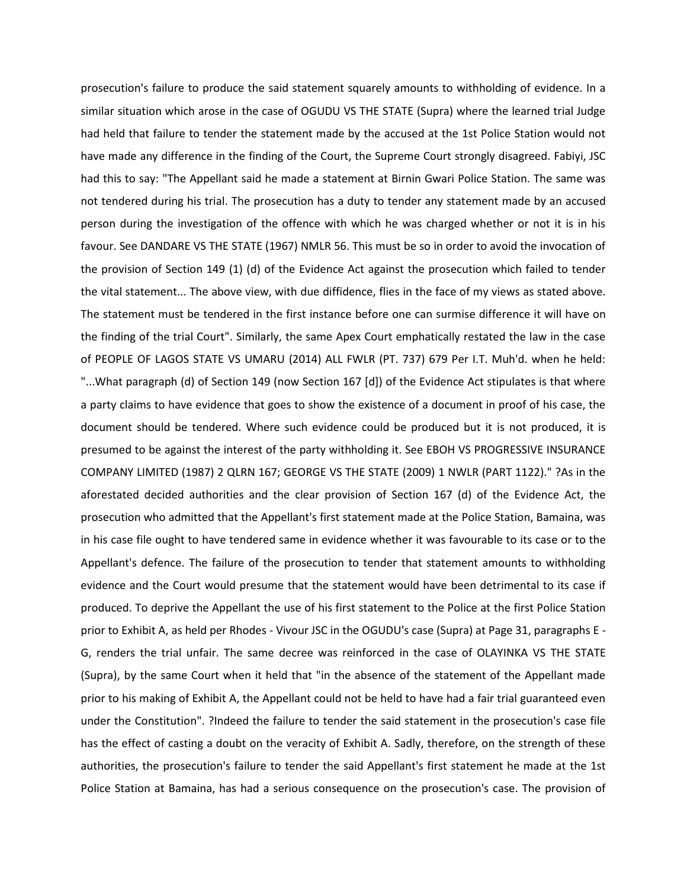prosecution's failure to produce the said statement squarely amounts to withholding of evidence. In a similar situation which arose in the case of OGUDU VS THE STATE (Supra) where the learned trial Judge had held that failure to tender the statement made by the accused at the 1st Police Station would not have made any difference in the finding of the Court, the Supreme Court strongly disagreed. Fabiyi, JSC had this to say: "The Appellant said he made a statement at Birnin Gwari Police Station. The same was not tendered during his trial. The prosecution has a duty to tender any statement made by an accused person during the investigation of the offence with which he was charged whether or not it is in his favour. See DANDARE VS THE STATE (1967) NMLR 56. This must be so in order to avoid the invocation of the provision of Section 149 (1) (d) of the Evidence Act against the prosecution which failed to tender the vital statement... The above view, with due diffidence, flies in the face of my views as stated above. The statement must be tendered in the first instance before one can surmise difference it will have on the finding of the trial Court". Similarly, the same Apex Court emphatically restated the law in the case of PEOPLE OF LAGOS STATE VS UMARU (2014) ALL FWLR (PT. 737) 679 Per I.T. Muh'd. when he held: "...What paragraph (d) of Section 149 (now Section 167 [d]) of the Evidence Act stipulates is that where a party claims to have evidence that goes to show the existence of a document in proof of his case, the document should be tendered. Where such evidence could be produced but it is not produced, it is presumed to be against the interest of the party withholding it. See EBOH VS PROGRESSIVE INSURANCE COMPANY LIMITED (1987) 2 QLRN 167; GEORGE VS THE STATE (2009) 1 NWLR (PART 1122)." ?As in the aforestated decided authorities and the clear provision of Section 167 (d) of the Evidence Act, the prosecution who admitted that the Appellant's first statement made at the Police Station, Bamaina, was in his case file ought to have tendered same in evidence whether it was favourable to its case or to the Appellant's defence. The failure of the prosecution to tender that statement amounts to withholding evidence and the Court would presume that the statement would have been detrimental to its case if produced. To deprive the Appellant the use of his first statement to the Police at the first Police Station prior to Exhibit A, as held per Rhodes - Vivour JSC in the OGUDU's case (Supra) at Page 31, paragraphs E - G, renders the trial unfair. The same decree was reinforced in the case of OLAYINKA VS THE STATE (Supra), by the same Court when it held that "in the absence of the statement of the Appellant made prior to his making of Exhibit A, the Appellant could not be held to have had a fair trial guaranteed even under the Constitution". ?Indeed the failure to tender the said statement in the prosecution's case file has the effect of casting a doubt on the veracity of Exhibit A. Sadly, therefore, on the strength of these authorities, the prosecution's failure to tender the said Appellant's first statement he made at the 1st Police Station at Bamaina, has had a serious consequence on the prosecution's case. The provision of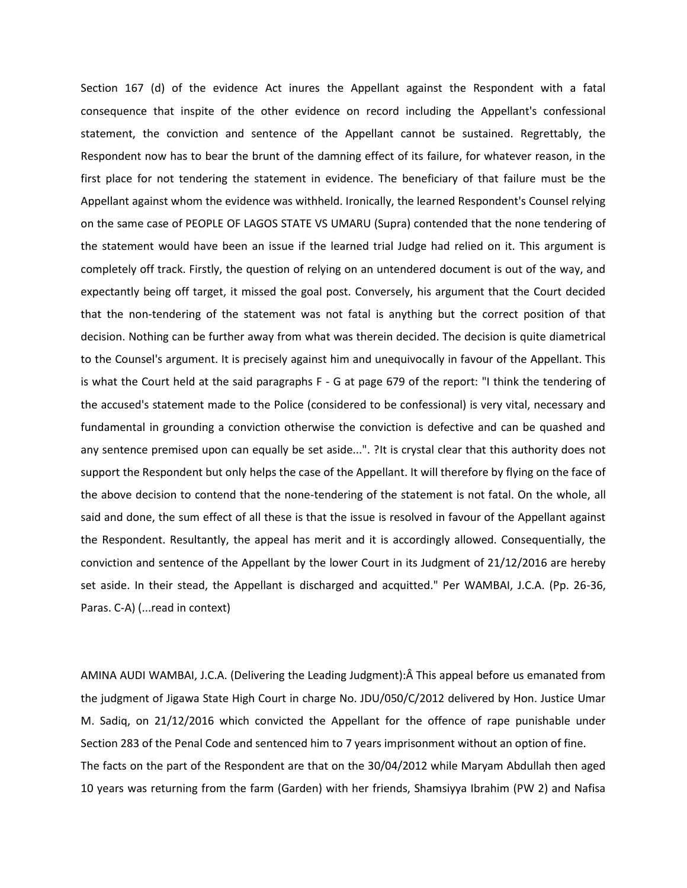Section 167 (d) of the evidence Act inures the Appellant against the Respondent with a fatal consequence that inspite of the other evidence on record including the Appellant's confessional statement, the conviction and sentence of the Appellant cannot be sustained. Regrettably, the Respondent now has to bear the brunt of the damning effect of its failure, for whatever reason, in the first place for not tendering the statement in evidence. The beneficiary of that failure must be the Appellant against whom the evidence was withheld. Ironically, the learned Respondent's Counsel relying on the same case of PEOPLE OF LAGOS STATE VS UMARU (Supra) contended that the none tendering of the statement would have been an issue if the learned trial Judge had relied on it. This argument is completely off track. Firstly, the question of relying on an untendered document is out of the way, and expectantly being off target, it missed the goal post. Conversely, his argument that the Court decided that the non-tendering of the statement was not fatal is anything but the correct position of that decision. Nothing can be further away from what was therein decided. The decision is quite diametrical to the Counsel's argument. It is precisely against him and unequivocally in favour of the Appellant. This is what the Court held at the said paragraphs F - G at page 679 of the report: "I think the tendering of the accused's statement made to the Police (considered to be confessional) is very vital, necessary and fundamental in grounding a conviction otherwise the conviction is defective and can be quashed and any sentence premised upon can equally be set aside...". ?It is crystal clear that this authority does not support the Respondent but only helps the case of the Appellant. It will therefore by flying on the face of the above decision to contend that the none-tendering of the statement is not fatal. On the whole, all said and done, the sum effect of all these is that the issue is resolved in favour of the Appellant against the Respondent. Resultantly, the appeal has merit and it is accordingly allowed. Consequentially, the conviction and sentence of the Appellant by the lower Court in its Judgment of 21/12/2016 are hereby set aside. In their stead, the Appellant is discharged and acquitted." Per WAMBAI, J.C.A. (Pp. 26-36, Paras. C-A) (...read in context)

AMINA AUDI WAMBAI, J.C.A. (Delivering the Leading Judgment):Â This appeal before us emanated from the judgment of Jigawa State High Court in charge No. JDU/050/C/2012 delivered by Hon. Justice Umar M. Sadiq, on 21/12/2016 which convicted the Appellant for the offence of rape punishable under Section 283 of the Penal Code and sentenced him to 7 years imprisonment without an option of fine. The facts on the part of the Respondent are that on the 30/04/2012 while Maryam Abdullah then aged 10 years was returning from the farm (Garden) with her friends, Shamsiyya Ibrahim (PW 2) and Nafisa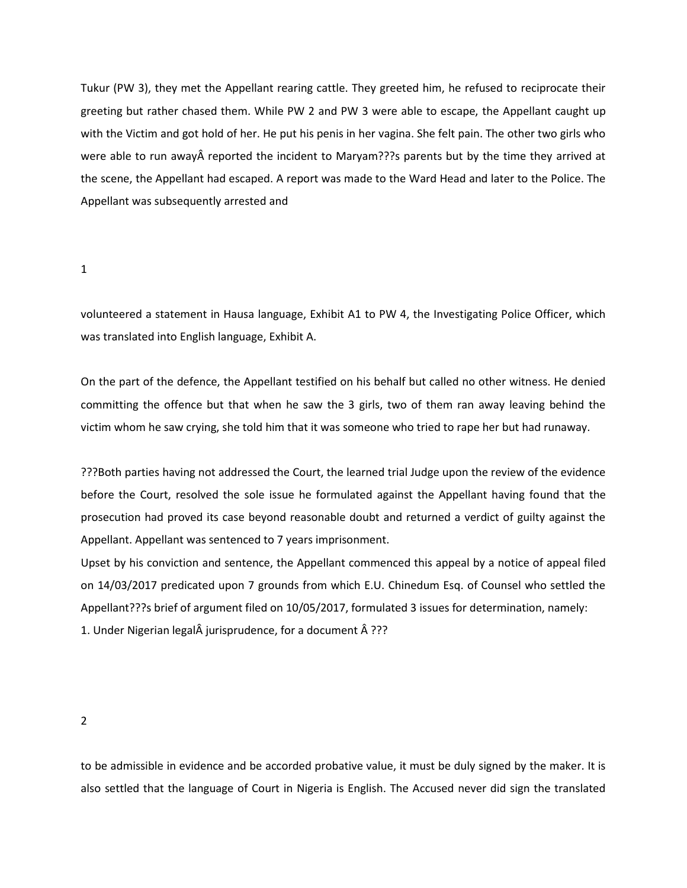Tukur (PW 3), they met the Appellant rearing cattle. They greeted him, he refused to reciprocate their greeting but rather chased them. While PW 2 and PW 3 were able to escape, the Appellant caught up with the Victim and got hold of her. He put his penis in her vagina. She felt pain. The other two girls who were able to run away  $\hat{A}$  reported the incident to Maryam??? parents but by the time they arrived at the scene, the Appellant had escaped. A report was made to the Ward Head and later to the Police. The Appellant was subsequently arrested and

1

volunteered a statement in Hausa language, Exhibit A1 to PW 4, the Investigating Police Officer, which was translated into English language, Exhibit A.

On the part of the defence, the Appellant testified on his behalf but called no other witness. He denied committing the offence but that when he saw the 3 girls, two of them ran away leaving behind the victim whom he saw crying, she told him that it was someone who tried to rape her but had runaway.

???Both parties having not addressed the Court, the learned trial Judge upon the review of the evidence before the Court, resolved the sole issue he formulated against the Appellant having found that the prosecution had proved its case beyond reasonable doubt and returned a verdict of guilty against the Appellant. Appellant was sentenced to 7 years imprisonment.

Upset by his conviction and sentence, the Appellant commenced this appeal by a notice of appeal filed on 14/03/2017 predicated upon 7 grounds from which E.U. Chinedum Esq. of Counsel who settled the Appellant???s brief of argument filed on 10/05/2017, formulated 3 issues for determination, namely: 1. Under Nigerian legal $\hat{A}$  jurisprudence, for a document  $\hat{A}$  ???

2

to be admissible in evidence and be accorded probative value, it must be duly signed by the maker. It is also settled that the language of Court in Nigeria is English. The Accused never did sign the translated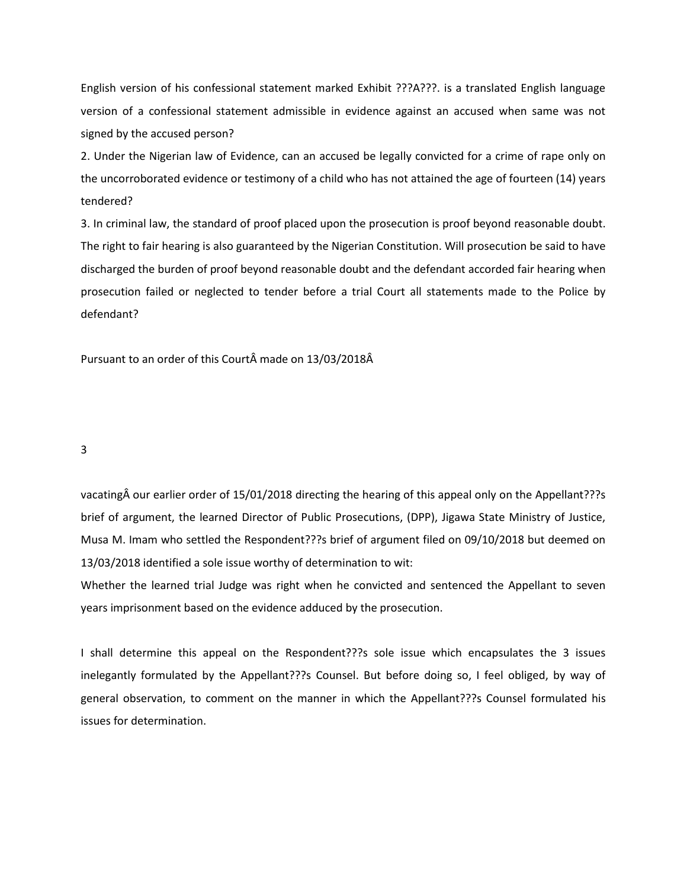English version of his confessional statement marked Exhibit ???A???. is a translated English language version of a confessional statement admissible in evidence against an accused when same was not signed by the accused person?

2. Under the Nigerian law of Evidence, can an accused be legally convicted for a crime of rape only on the uncorroborated evidence or testimony of a child who has not attained the age of fourteen (14) years tendered?

3. In criminal law, the standard of proof placed upon the prosecution is proof beyond reasonable doubt. The right to fair hearing is also guaranteed by the Nigerian Constitution. Will prosecution be said to have discharged the burden of proof beyond reasonable doubt and the defendant accorded fair hearing when prosecution failed or neglected to tender before a trial Court all statements made to the Police by defendant?

Pursuant to an order of this Court made on 13/03/2018Â

3

vacating our earlier order of 15/01/2018 directing the hearing of this appeal only on the Appellant???s brief of argument, the learned Director of Public Prosecutions, (DPP), Jigawa State Ministry of Justice, Musa M. Imam who settled the Respondent???s brief of argument filed on 09/10/2018 but deemed on 13/03/2018 identified a sole issue worthy of determination to wit:

Whether the learned trial Judge was right when he convicted and sentenced the Appellant to seven years imprisonment based on the evidence adduced by the prosecution.

I shall determine this appeal on the Respondent???s sole issue which encapsulates the 3 issues inelegantly formulated by the Appellant???s Counsel. But before doing so, I feel obliged, by way of general observation, to comment on the manner in which the Appellant???s Counsel formulated his issues for determination.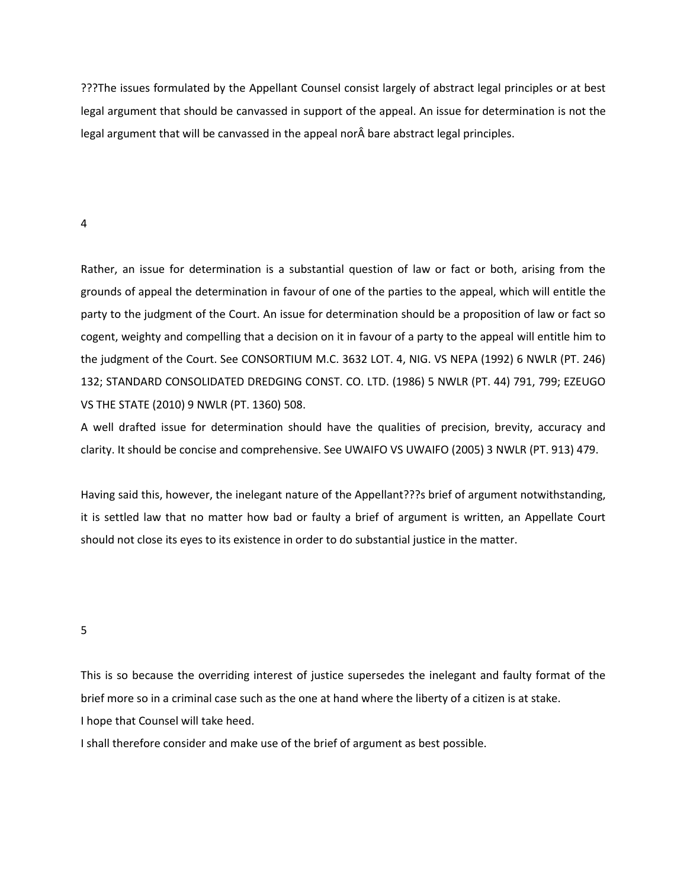???The issues formulated by the Appellant Counsel consist largely of abstract legal principles or at best legal argument that should be canvassed in support of the appeal. An issue for determination is not the legal argument that will be canvassed in the appeal nor bare abstract legal principles.

## 4

Rather, an issue for determination is a substantial question of law or fact or both, arising from the grounds of appeal the determination in favour of one of the parties to the appeal, which will entitle the party to the judgment of the Court. An issue for determination should be a proposition of law or fact so cogent, weighty and compelling that a decision on it in favour of a party to the appeal will entitle him to the judgment of the Court. See CONSORTIUM M.C. 3632 LOT. 4, NIG. VS NEPA (1992) 6 NWLR (PT. 246) 132; STANDARD CONSOLIDATED DREDGING CONST. CO. LTD. (1986) 5 NWLR (PT. 44) 791, 799; EZEUGO VS THE STATE (2010) 9 NWLR (PT. 1360) 508.

A well drafted issue for determination should have the qualities of precision, brevity, accuracy and clarity. It should be concise and comprehensive. See UWAIFO VS UWAIFO (2005) 3 NWLR (PT. 913) 479.

Having said this, however, the inelegant nature of the Appellant???s brief of argument notwithstanding, it is settled law that no matter how bad or faulty a brief of argument is written, an Appellate Court should not close its eyes to its existence in order to do substantial justice in the matter.

#### 5

This is so because the overriding interest of justice supersedes the inelegant and faulty format of the brief more so in a criminal case such as the one at hand where the liberty of a citizen is at stake. I hope that Counsel will take heed.

I shall therefore consider and make use of the brief of argument as best possible.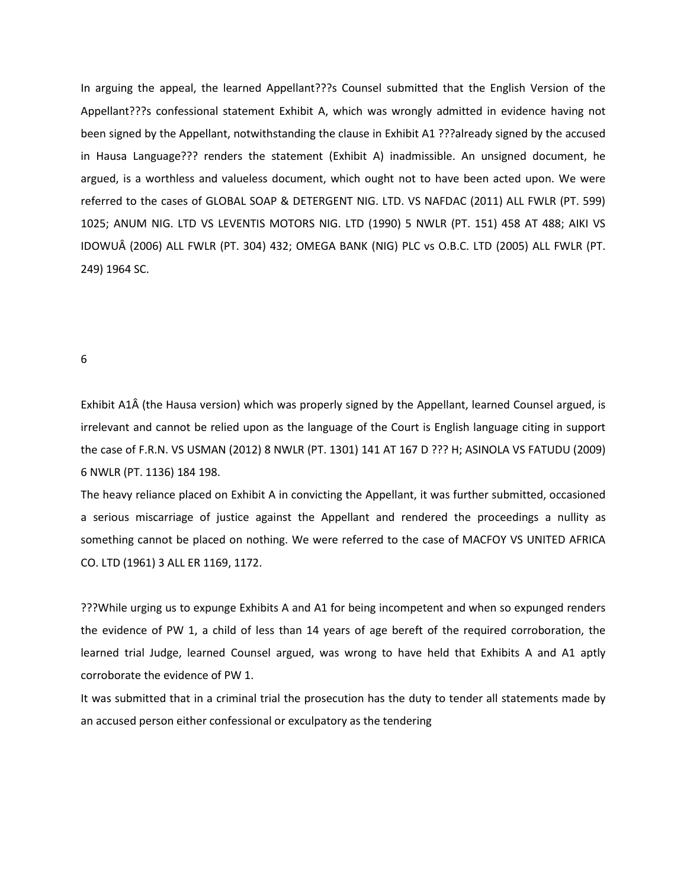In arguing the appeal, the learned Appellant???s Counsel submitted that the English Version of the Appellant???s confessional statement Exhibit A, which was wrongly admitted in evidence having not been signed by the Appellant, notwithstanding the clause in Exhibit A1 ???already signed by the accused in Hausa Language??? renders the statement (Exhibit A) inadmissible. An unsigned document, he argued, is a worthless and valueless document, which ought not to have been acted upon. We were referred to the cases of GLOBAL SOAP & DETERGENT NIG. LTD. VS NAFDAC (2011) ALL FWLR (PT. 599) 1025; ANUM NIG. LTD VS LEVENTIS MOTORS NIG. LTD (1990) 5 NWLR (PT. 151) 458 AT 488; AIKI VS IDOWUÂ (2006) ALL FWLR (PT. 304) 432; OMEGA BANK (NIG) PLC vs O.B.C. LTD (2005) ALL FWLR (PT. 249) 1964 SC.

6

Exhibit A1Â (the Hausa version) which was properly signed by the Appellant, learned Counsel argued, is irrelevant and cannot be relied upon as the language of the Court is English language citing in support the case of F.R.N. VS USMAN (2012) 8 NWLR (PT. 1301) 141 AT 167 D ??? H; ASINOLA VS FATUDU (2009) 6 NWLR (PT. 1136) 184 198.

The heavy reliance placed on Exhibit A in convicting the Appellant, it was further submitted, occasioned a serious miscarriage of justice against the Appellant and rendered the proceedings a nullity as something cannot be placed on nothing. We were referred to the case of MACFOY VS UNITED AFRICA CO. LTD (1961) 3 ALL ER 1169, 1172.

???While urging us to expunge Exhibits A and A1 for being incompetent and when so expunged renders the evidence of PW 1, a child of less than 14 years of age bereft of the required corroboration, the learned trial Judge, learned Counsel argued, was wrong to have held that Exhibits A and A1 aptly corroborate the evidence of PW 1.

It was submitted that in a criminal trial the prosecution has the duty to tender all statements made by an accused person either confessional or exculpatory as the tendering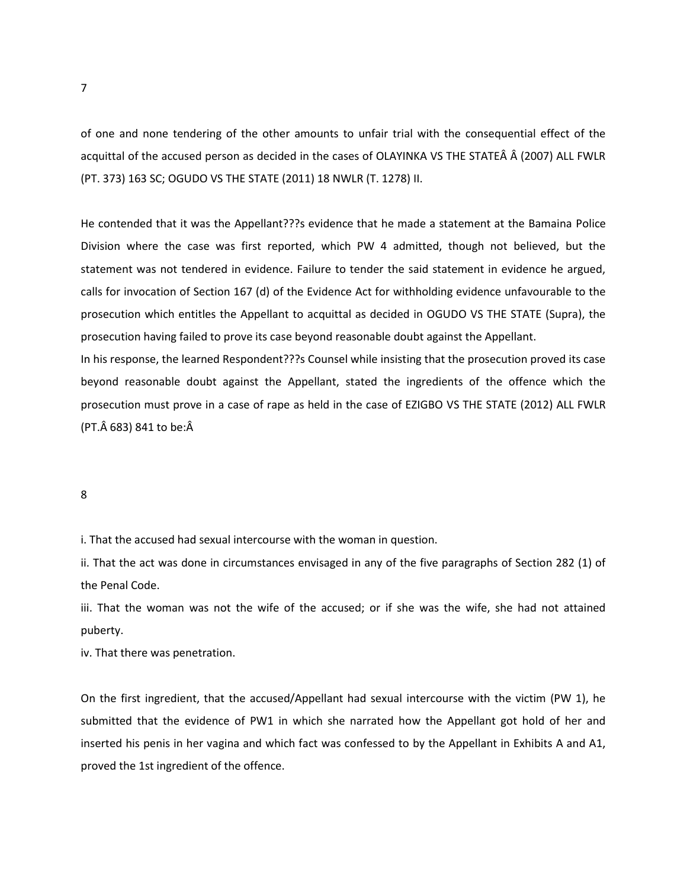of one and none tendering of the other amounts to unfair trial with the consequential effect of the acquittal of the accused person as decided in the cases of OLAYINKA VS THE STATEÂ Â (2007) ALL FWLR (PT. 373) 163 SC; OGUDO VS THE STATE (2011) 18 NWLR (T. 1278) II.

He contended that it was the Appellant???s evidence that he made a statement at the Bamaina Police Division where the case was first reported, which PW 4 admitted, though not believed, but the statement was not tendered in evidence. Failure to tender the said statement in evidence he argued, calls for invocation of Section 167 (d) of the Evidence Act for withholding evidence unfavourable to the prosecution which entitles the Appellant to acquittal as decided in OGUDO VS THE STATE (Supra), the prosecution having failed to prove its case beyond reasonable doubt against the Appellant.

In his response, the learned Respondent???s Counsel while insisting that the prosecution proved its case beyond reasonable doubt against the Appellant, stated the ingredients of the offence which the prosecution must prove in a case of rape as held in the case of EZIGBO VS THE STATE (2012) ALL FWLR (PT. $\hat{A}$  683) 841 to be: $\hat{A}$ 

8

i. That the accused had sexual intercourse with the woman in question.

ii. That the act was done in circumstances envisaged in any of the five paragraphs of Section 282 (1) of the Penal Code.

iii. That the woman was not the wife of the accused; or if she was the wife, she had not attained puberty.

iv. That there was penetration.

On the first ingredient, that the accused/Appellant had sexual intercourse with the victim (PW 1), he submitted that the evidence of PW1 in which she narrated how the Appellant got hold of her and inserted his penis in her vagina and which fact was confessed to by the Appellant in Exhibits A and A1, proved the 1st ingredient of the offence.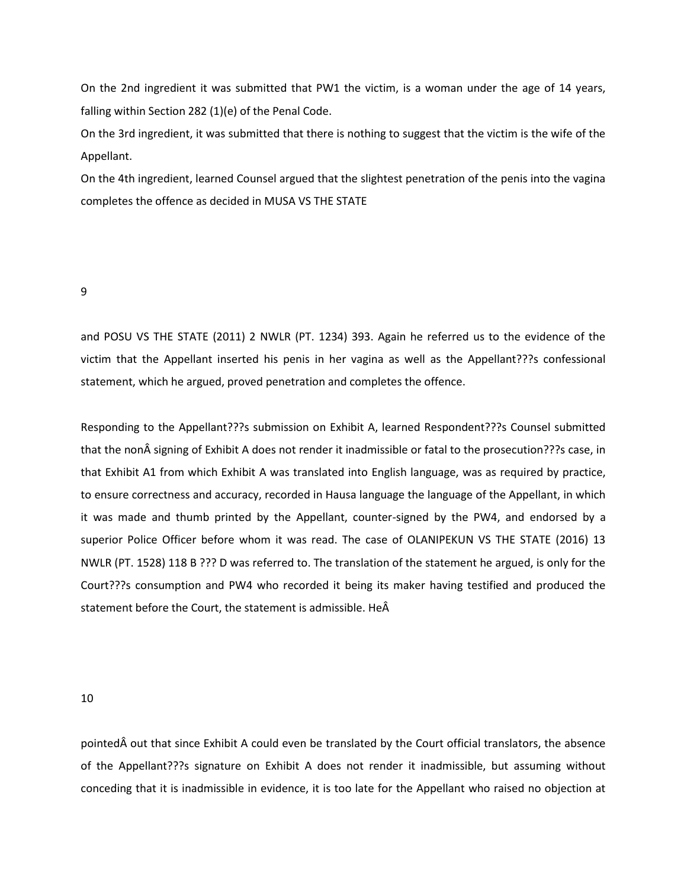On the 2nd ingredient it was submitted that PW1 the victim, is a woman under the age of 14 years, falling within Section 282 (1)(e) of the Penal Code.

On the 3rd ingredient, it was submitted that there is nothing to suggest that the victim is the wife of the Appellant.

On the 4th ingredient, learned Counsel argued that the slightest penetration of the penis into the vagina completes the offence as decided in MUSA VS THE STATE

9

and POSU VS THE STATE (2011) 2 NWLR (PT. 1234) 393. Again he referred us to the evidence of the victim that the Appellant inserted his penis in her vagina as well as the Appellant???s confessional statement, which he argued, proved penetration and completes the offence.

Responding to the Appellant???s submission on Exhibit A, learned Respondent???s Counsel submitted that the non signing of Exhibit A does not render it inadmissible or fatal to the prosecution???s case, in that Exhibit A1 from which Exhibit A was translated into English language, was as required by practice, to ensure correctness and accuracy, recorded in Hausa language the language of the Appellant, in which it was made and thumb printed by the Appellant, counter-signed by the PW4, and endorsed by a superior Police Officer before whom it was read. The case of OLANIPEKUN VS THE STATE (2016) 13 NWLR (PT. 1528) 118 B ??? D was referred to. The translation of the statement he argued, is only for the Court???s consumption and PW4 who recorded it being its maker having testified and produced the statement before the Court, the statement is admissible. He

10

pointed out that since Exhibit A could even be translated by the Court official translators, the absence of the Appellant???s signature on Exhibit A does not render it inadmissible, but assuming without conceding that it is inadmissible in evidence, it is too late for the Appellant who raised no objection at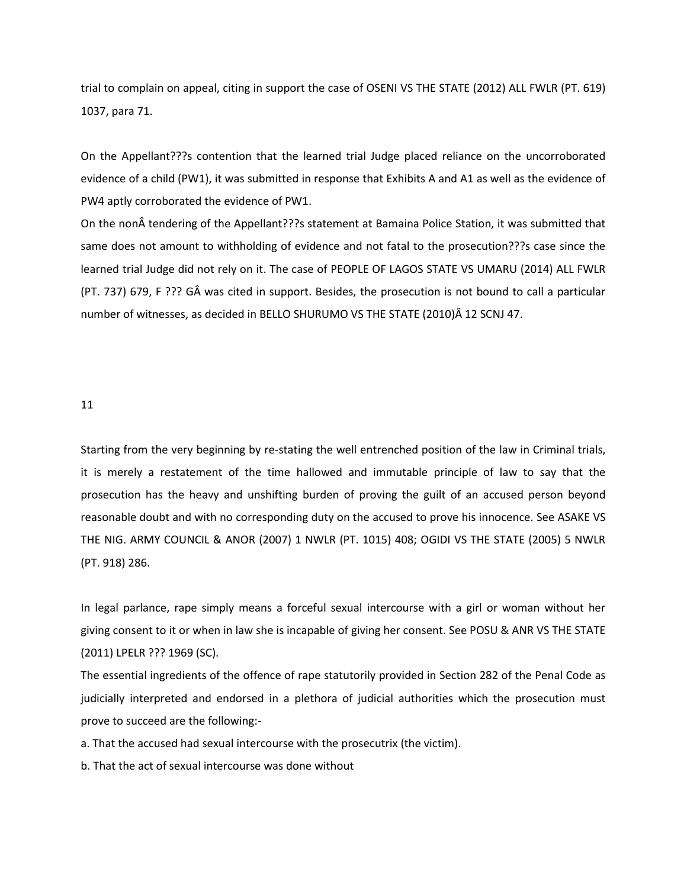trial to complain on appeal, citing in support the case of OSENI VS THE STATE (2012) ALL FWLR (PT. 619) 1037, para 71.

On the Appellant???s contention that the learned trial Judge placed reliance on the uncorroborated evidence of a child (PW1), it was submitted in response that Exhibits A and A1 as well as the evidence of PW4 aptly corroborated the evidence of PW1.

On the non  $\hat{A}$  tendering of the Appellant???s statement at Bamaina Police Station, it was submitted that same does not amount to withholding of evidence and not fatal to the prosecution???s case since the learned trial Judge did not rely on it. The case of PEOPLE OF LAGOS STATE VS UMARU (2014) ALL FWLR (PT. 737) 679, F ??? GÂ was cited in support. Besides, the prosecution is not bound to call a particular number of witnesses, as decided in BELLO SHURUMO VS THE STATE (2010)Â 12 SCNJ 47.

11

Starting from the very beginning by re-stating the well entrenched position of the law in Criminal trials, it is merely a restatement of the time hallowed and immutable principle of law to say that the prosecution has the heavy and unshifting burden of proving the guilt of an accused person beyond reasonable doubt and with no corresponding duty on the accused to prove his innocence. See ASAKE VS THE NIG. ARMY COUNCIL & ANOR (2007) 1 NWLR (PT. 1015) 408; OGIDI VS THE STATE (2005) 5 NWLR (PT. 918) 286.

In legal parlance, rape simply means a forceful sexual intercourse with a girl or woman without her giving consent to it or when in law she is incapable of giving her consent. See POSU & ANR VS THE STATE (2011) LPELR ??? 1969 (SC).

The essential ingredients of the offence of rape statutorily provided in Section 282 of the Penal Code as judicially interpreted and endorsed in a plethora of judicial authorities which the prosecution must prove to succeed are the following:-

a. That the accused had sexual intercourse with the prosecutrix (the victim).

b. That the act of sexual intercourse was done without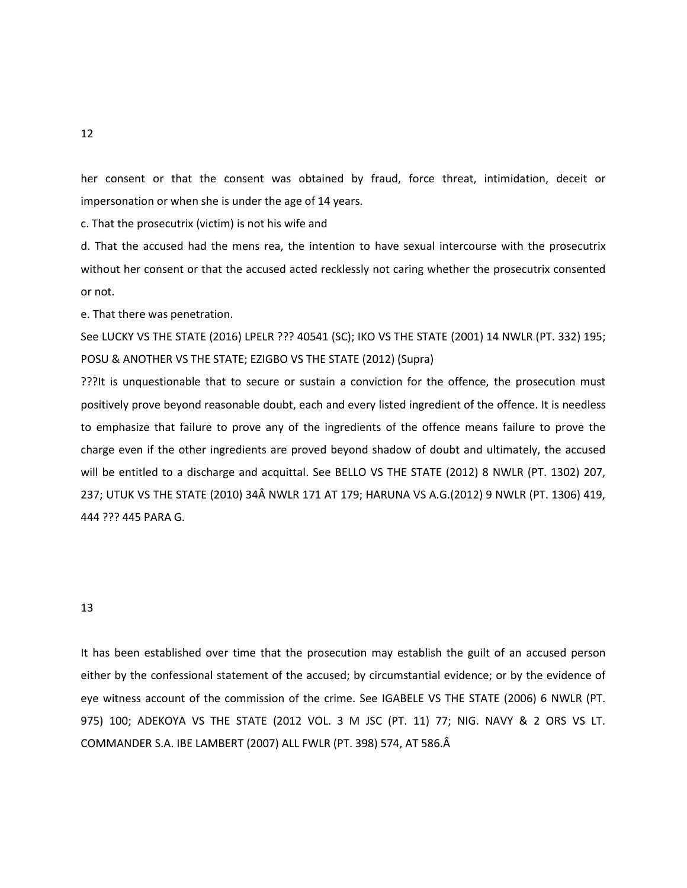her consent or that the consent was obtained by fraud, force threat, intimidation, deceit or impersonation or when she is under the age of 14 years.

c. That the prosecutrix (victim) is not his wife and

d. That the accused had the mens rea, the intention to have sexual intercourse with the prosecutrix without her consent or that the accused acted recklessly not caring whether the prosecutrix consented or not.

e. That there was penetration.

See LUCKY VS THE STATE (2016) LPELR ??? 40541 (SC); IKO VS THE STATE (2001) 14 NWLR (PT. 332) 195; POSU & ANOTHER VS THE STATE; EZIGBO VS THE STATE (2012) (Supra)

???It is unquestionable that to secure or sustain a conviction for the offence, the prosecution must positively prove beyond reasonable doubt, each and every listed ingredient of the offence. It is needless to emphasize that failure to prove any of the ingredients of the offence means failure to prove the charge even if the other ingredients are proved beyond shadow of doubt and ultimately, the accused will be entitled to a discharge and acquittal. See BELLO VS THE STATE (2012) 8 NWLR (PT. 1302) 207, 237; UTUK VS THE STATE (2010) 34Â NWLR 171 AT 179; HARUNA VS A.G.(2012) 9 NWLR (PT. 1306) 419, 444 ??? 445 PARA G.

## 13

It has been established over time that the prosecution may establish the guilt of an accused person either by the confessional statement of the accused; by circumstantial evidence; or by the evidence of eye witness account of the commission of the crime. See IGABELE VS THE STATE (2006) 6 NWLR (PT. 975) 100; ADEKOYA VS THE STATE (2012 VOL. 3 M JSC (PT. 11) 77; NIG. NAVY & 2 ORS VS LT. COMMANDER S.A. IBE LAMBERT (2007) ALL FWLR (PT. 398) 574, AT 586.

12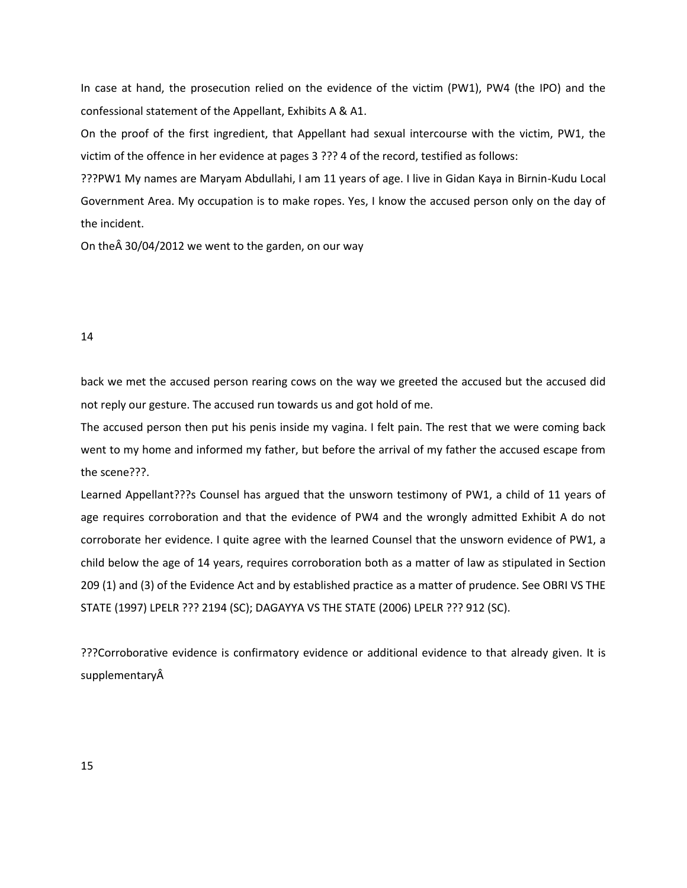In case at hand, the prosecution relied on the evidence of the victim (PW1), PW4 (the IPO) and the confessional statement of the Appellant, Exhibits A & A1.

On the proof of the first ingredient, that Appellant had sexual intercourse with the victim, PW1, the victim of the offence in her evidence at pages 3 ??? 4 of the record, testified as follows:

???PW1 My names are Maryam Abdullahi, I am 11 years of age. I live in Gidan Kaya in Birnin-Kudu Local Government Area. My occupation is to make ropes. Yes, I know the accused person only on the day of the incident.

On the $\hat{A}$  30/04/2012 we went to the garden, on our way

## 14

back we met the accused person rearing cows on the way we greeted the accused but the accused did not reply our gesture. The accused run towards us and got hold of me.

The accused person then put his penis inside my vagina. I felt pain. The rest that we were coming back went to my home and informed my father, but before the arrival of my father the accused escape from the scene???.

Learned Appellant???s Counsel has argued that the unsworn testimony of PW1, a child of 11 years of age requires corroboration and that the evidence of PW4 and the wrongly admitted Exhibit A do not corroborate her evidence. I quite agree with the learned Counsel that the unsworn evidence of PW1, a child below the age of 14 years, requires corroboration both as a matter of law as stipulated in Section 209 (1) and (3) of the Evidence Act and by established practice as a matter of prudence. See OBRI VS THE STATE (1997) LPELR ??? 2194 (SC); DAGAYYA VS THE STATE (2006) LPELR ??? 912 (SC).

???Corroborative evidence is confirmatory evidence or additional evidence to that already given. It is supplementary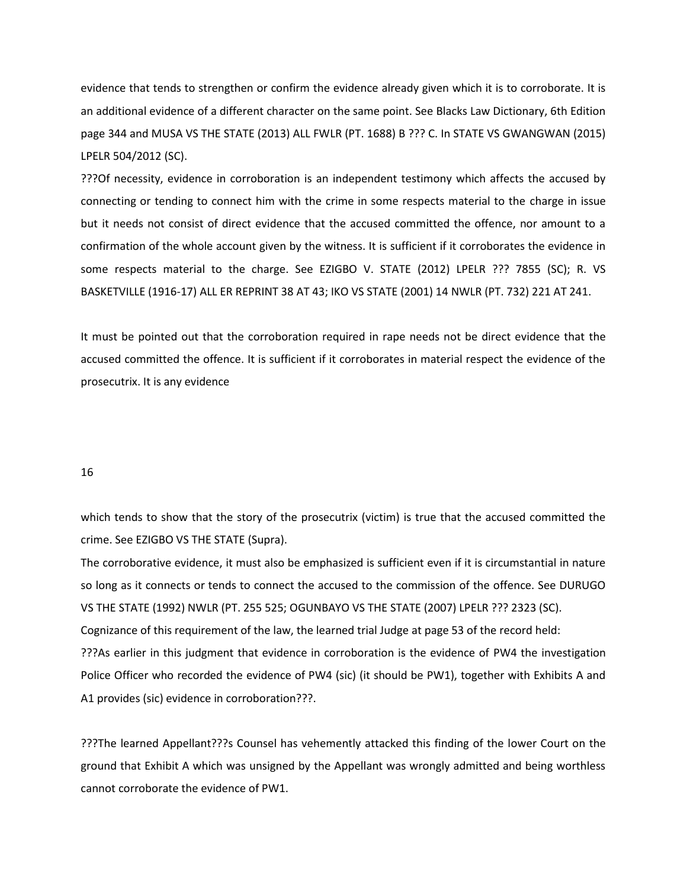evidence that tends to strengthen or confirm the evidence already given which it is to corroborate. It is an additional evidence of a different character on the same point. See Blacks Law Dictionary, 6th Edition page 344 and MUSA VS THE STATE (2013) ALL FWLR (PT. 1688) B ??? C. In STATE VS GWANGWAN (2015) LPELR 504/2012 (SC).

???Of necessity, evidence in corroboration is an independent testimony which affects the accused by connecting or tending to connect him with the crime in some respects material to the charge in issue but it needs not consist of direct evidence that the accused committed the offence, nor amount to a confirmation of the whole account given by the witness. It is sufficient if it corroborates the evidence in some respects material to the charge. See EZIGBO V. STATE (2012) LPELR ??? 7855 (SC); R. VS BASKETVILLE (1916-17) ALL ER REPRINT 38 AT 43; IKO VS STATE (2001) 14 NWLR (PT. 732) 221 AT 241.

It must be pointed out that the corroboration required in rape needs not be direct evidence that the accused committed the offence. It is sufficient if it corroborates in material respect the evidence of the prosecutrix. It is any evidence

### 16

which tends to show that the story of the prosecutrix (victim) is true that the accused committed the crime. See EZIGBO VS THE STATE (Supra).

The corroborative evidence, it must also be emphasized is sufficient even if it is circumstantial in nature so long as it connects or tends to connect the accused to the commission of the offence. See DURUGO VS THE STATE (1992) NWLR (PT. 255 525; OGUNBAYO VS THE STATE (2007) LPELR ??? 2323 (SC). Cognizance of this requirement of the law, the learned trial Judge at page 53 of the record held: ???As earlier in this judgment that evidence in corroboration is the evidence of PW4 the investigation Police Officer who recorded the evidence of PW4 (sic) (it should be PW1), together with Exhibits A and A1 provides (sic) evidence in corroboration???.

???The learned Appellant???s Counsel has vehemently attacked this finding of the lower Court on the ground that Exhibit A which was unsigned by the Appellant was wrongly admitted and being worthless cannot corroborate the evidence of PW1.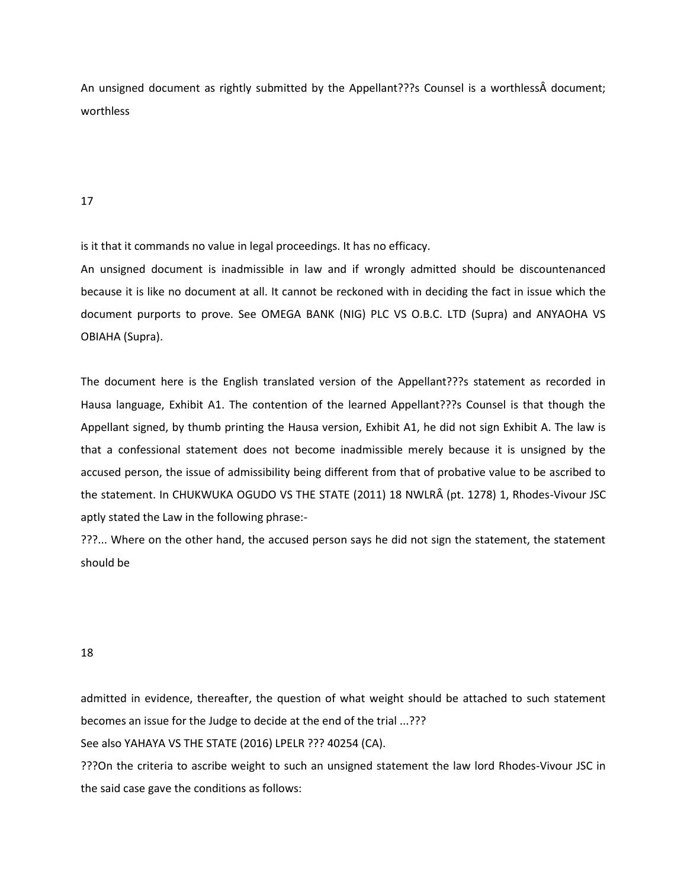An unsigned document as rightly submitted by the Appellant??? SCounsel is a worthless document; worthless

17

is it that it commands no value in legal proceedings. It has no efficacy.

An unsigned document is inadmissible in law and if wrongly admitted should be discountenanced because it is like no document at all. It cannot be reckoned with in deciding the fact in issue which the document purports to prove. See OMEGA BANK (NIG) PLC VS O.B.C. LTD (Supra) and ANYAOHA VS OBIAHA (Supra).

The document here is the English translated version of the Appellant???s statement as recorded in Hausa language, Exhibit A1. The contention of the learned Appellant???s Counsel is that though the Appellant signed, by thumb printing the Hausa version, Exhibit A1, he did not sign Exhibit A. The law is that a confessional statement does not become inadmissible merely because it is unsigned by the accused person, the issue of admissibility being different from that of probative value to be ascribed to the statement. In CHUKWUKA OGUDO VS THE STATE (2011) 18 NWLRÂ (pt. 1278) 1, Rhodes-Vivour JSC aptly stated the Law in the following phrase:-

???... Where on the other hand, the accused person says he did not sign the statement, the statement should be

18

admitted in evidence, thereafter, the question of what weight should be attached to such statement becomes an issue for the Judge to decide at the end of the trial ...???

See also YAHAYA VS THE STATE (2016) LPELR ??? 40254 (CA).

???On the criteria to ascribe weight to such an unsigned statement the law lord Rhodes-Vivour JSC in the said case gave the conditions as follows: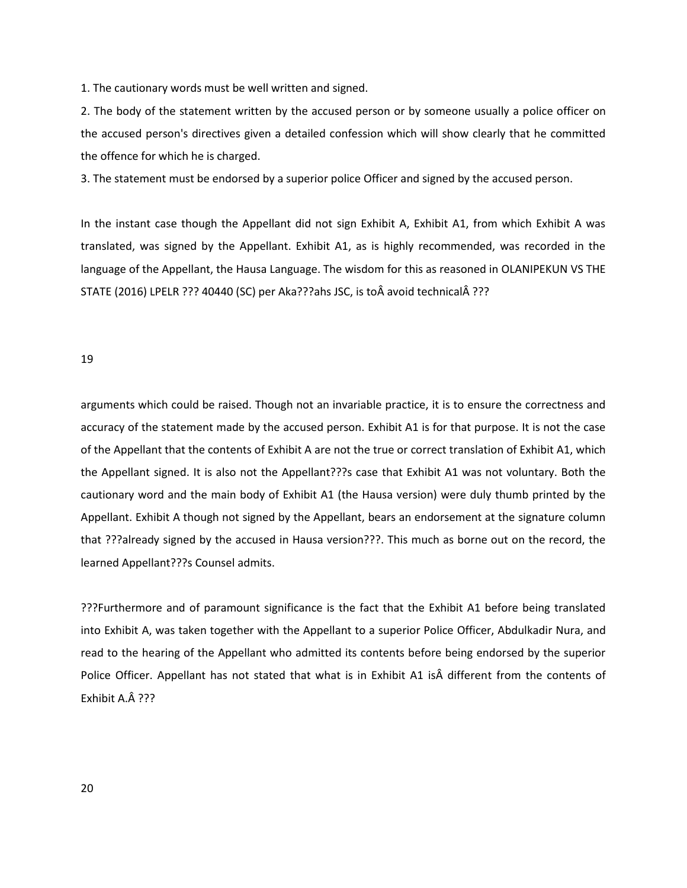1. The cautionary words must be well written and signed.

2. The body of the statement written by the accused person or by someone usually a police officer on the accused person's directives given a detailed confession which will show clearly that he committed the offence for which he is charged.

3. The statement must be endorsed by a superior police Officer and signed by the accused person.

In the instant case though the Appellant did not sign Exhibit A, Exhibit A1, from which Exhibit A was translated, was signed by the Appellant. Exhibit A1, as is highly recommended, was recorded in the language of the Appellant, the Hausa Language. The wisdom for this as reasoned in OLANIPEKUN VS THE STATE (2016) LPELR ??? 40440 (SC) per Aka???ahs JSC, is to avoid technical Â???

#### 19

arguments which could be raised. Though not an invariable practice, it is to ensure the correctness and accuracy of the statement made by the accused person. Exhibit A1 is for that purpose. It is not the case of the Appellant that the contents of Exhibit A are not the true or correct translation of Exhibit A1, which the Appellant signed. It is also not the Appellant???s case that Exhibit A1 was not voluntary. Both the cautionary word and the main body of Exhibit A1 (the Hausa version) were duly thumb printed by the Appellant. Exhibit A though not signed by the Appellant, bears an endorsement at the signature column that ???already signed by the accused in Hausa version???. This much as borne out on the record, the learned Appellant???s Counsel admits.

???Furthermore and of paramount significance is the fact that the Exhibit A1 before being translated into Exhibit A, was taken together with the Appellant to a superior Police Officer, Abdulkadir Nura, and read to the hearing of the Appellant who admitted its contents before being endorsed by the superior Police Officer. Appellant has not stated that what is in Exhibit A1 is different from the contents of Exhibit A. $\hat{A}$  ???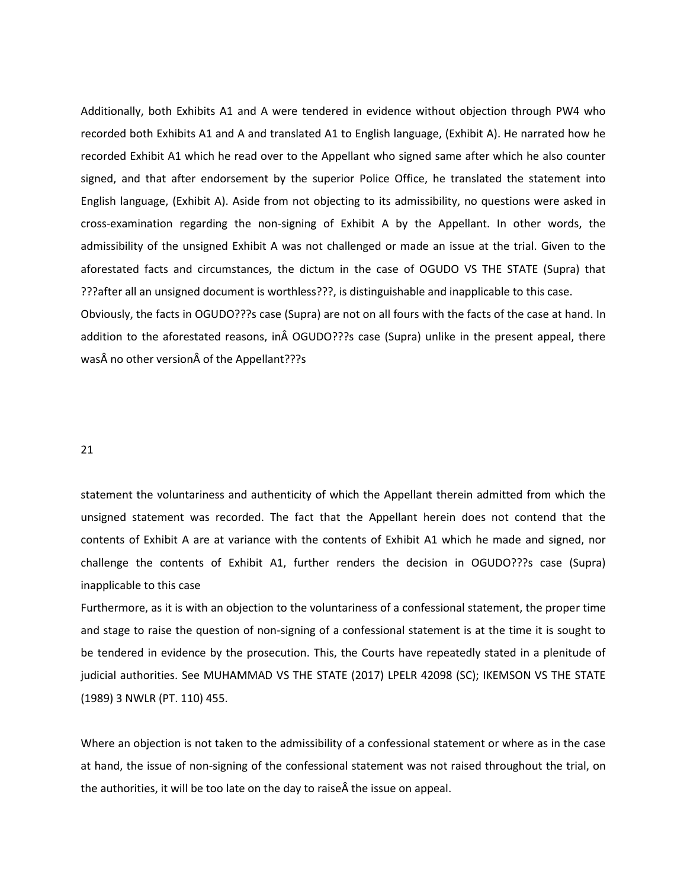Additionally, both Exhibits A1 and A were tendered in evidence without objection through PW4 who recorded both Exhibits A1 and A and translated A1 to English language, (Exhibit A). He narrated how he recorded Exhibit A1 which he read over to the Appellant who signed same after which he also counter signed, and that after endorsement by the superior Police Office, he translated the statement into English language, (Exhibit A). Aside from not objecting to its admissibility, no questions were asked in cross-examination regarding the non-signing of Exhibit A by the Appellant. In other words, the admissibility of the unsigned Exhibit A was not challenged or made an issue at the trial. Given to the aforestated facts and circumstances, the dictum in the case of OGUDO VS THE STATE (Supra) that ???after all an unsigned document is worthless???, is distinguishable and inapplicable to this case. Obviously, the facts in OGUDO???s case (Supra) are not on all fours with the facts of the case at hand. In addition to the aforestated reasons, in OGUDO???s case (Supra) unlike in the present appeal, there

was no other version of the Appellant???s

## 21

statement the voluntariness and authenticity of which the Appellant therein admitted from which the unsigned statement was recorded. The fact that the Appellant herein does not contend that the contents of Exhibit A are at variance with the contents of Exhibit A1 which he made and signed, nor challenge the contents of Exhibit A1, further renders the decision in OGUDO???s case (Supra) inapplicable to this case

Furthermore, as it is with an objection to the voluntariness of a confessional statement, the proper time and stage to raise the question of non-signing of a confessional statement is at the time it is sought to be tendered in evidence by the prosecution. This, the Courts have repeatedly stated in a plenitude of judicial authorities. See MUHAMMAD VS THE STATE (2017) LPELR 42098 (SC); IKEMSON VS THE STATE (1989) 3 NWLR (PT. 110) 455.

Where an objection is not taken to the admissibility of a confessional statement or where as in the case at hand, the issue of non-signing of the confessional statement was not raised throughout the trial, on the authorities, it will be too late on the day to raise  $\hat{A}$  the issue on appeal.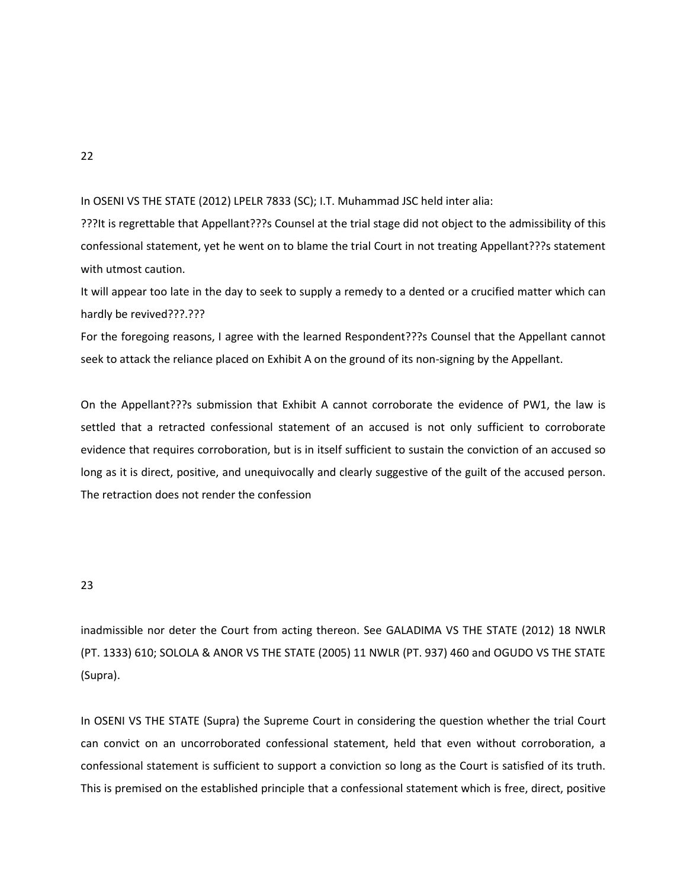In OSENI VS THE STATE (2012) LPELR 7833 (SC); I.T. Muhammad JSC held inter alia:

???It is regrettable that Appellant???s Counsel at the trial stage did not object to the admissibility of this confessional statement, yet he went on to blame the trial Court in not treating Appellant???s statement with utmost caution.

It will appear too late in the day to seek to supply a remedy to a dented or a crucified matter which can hardly be revived???.???

For the foregoing reasons, I agree with the learned Respondent???s Counsel that the Appellant cannot seek to attack the reliance placed on Exhibit A on the ground of its non-signing by the Appellant.

On the Appellant???s submission that Exhibit A cannot corroborate the evidence of PW1, the law is settled that a retracted confessional statement of an accused is not only sufficient to corroborate evidence that requires corroboration, but is in itself sufficient to sustain the conviction of an accused so long as it is direct, positive, and unequivocally and clearly suggestive of the guilt of the accused person. The retraction does not render the confession

# 23

inadmissible nor deter the Court from acting thereon. See GALADIMA VS THE STATE (2012) 18 NWLR (PT. 1333) 610; SOLOLA & ANOR VS THE STATE (2005) 11 NWLR (PT. 937) 460 and OGUDO VS THE STATE (Supra).

In OSENI VS THE STATE (Supra) the Supreme Court in considering the question whether the trial Court can convict on an uncorroborated confessional statement, held that even without corroboration, a confessional statement is sufficient to support a conviction so long as the Court is satisfied of its truth. This is premised on the established principle that a confessional statement which is free, direct, positive

22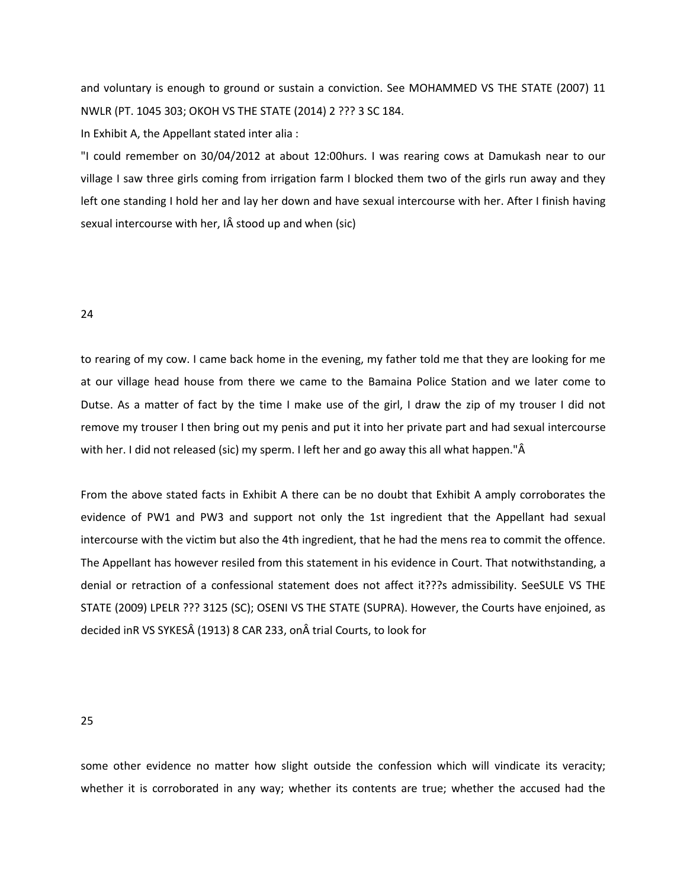and voluntary is enough to ground or sustain a conviction. See MOHAMMED VS THE STATE (2007) 11 NWLR (PT. 1045 303; OKOH VS THE STATE (2014) 2 ??? 3 SC 184.

In Exhibit A, the Appellant stated inter alia :

"I could remember on 30/04/2012 at about 12:00hurs. I was rearing cows at Damukash near to our village I saw three girls coming from irrigation farm I blocked them two of the girls run away and they left one standing I hold her and lay her down and have sexual intercourse with her. After I finish having sexual intercourse with her, IÂ stood up and when (sic)

## 24

to rearing of my cow. I came back home in the evening, my father told me that they are looking for me at our village head house from there we came to the Bamaina Police Station and we later come to Dutse. As a matter of fact by the time I make use of the girl, I draw the zip of my trouser I did not remove my trouser I then bring out my penis and put it into her private part and had sexual intercourse with her. I did not released (sic) my sperm. I left her and go away this all what happen."Â

From the above stated facts in Exhibit A there can be no doubt that Exhibit A amply corroborates the evidence of PW1 and PW3 and support not only the 1st ingredient that the Appellant had sexual intercourse with the victim but also the 4th ingredient, that he had the mens rea to commit the offence. The Appellant has however resiled from this statement in his evidence in Court. That notwithstanding, a denial or retraction of a confessional statement does not affect it???s admissibility. SeeSULE VS THE STATE (2009) LPELR ??? 3125 (SC); OSENI VS THE STATE (SUPRA). However, the Courts have enjoined, as decided inR VS SYKES (1913) 8 CAR 233, on trial Courts, to look for

25

some other evidence no matter how slight outside the confession which will vindicate its veracity; whether it is corroborated in any way; whether its contents are true; whether the accused had the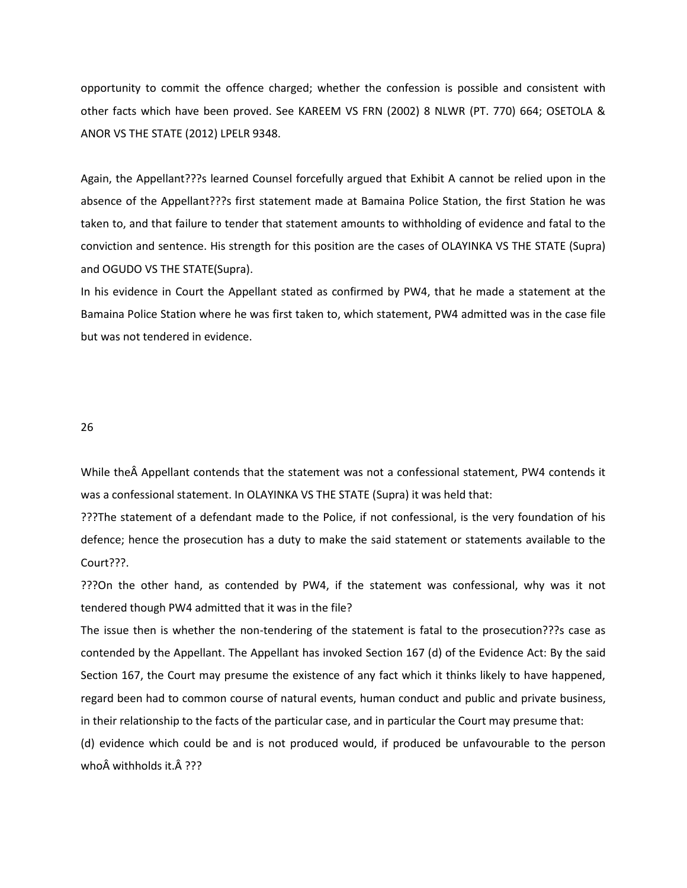opportunity to commit the offence charged; whether the confession is possible and consistent with other facts which have been proved. See KAREEM VS FRN (2002) 8 NLWR (PT. 770) 664; OSETOLA & ANOR VS THE STATE (2012) LPELR 9348.

Again, the Appellant???s learned Counsel forcefully argued that Exhibit A cannot be relied upon in the absence of the Appellant???s first statement made at Bamaina Police Station, the first Station he was taken to, and that failure to tender that statement amounts to withholding of evidence and fatal to the conviction and sentence. His strength for this position are the cases of OLAYINKA VS THE STATE (Supra) and OGUDO VS THE STATE(Supra).

In his evidence in Court the Appellant stated as confirmed by PW4, that he made a statement at the Bamaina Police Station where he was first taken to, which statement, PW4 admitted was in the case file but was not tendered in evidence.

26

While the  $\hat{A}$  Appellant contends that the statement was not a confessional statement, PW4 contends it was a confessional statement. In OLAYINKA VS THE STATE (Supra) it was held that:

???The statement of a defendant made to the Police, if not confessional, is the very foundation of his defence; hence the prosecution has a duty to make the said statement or statements available to the Court???.

???On the other hand, as contended by PW4, if the statement was confessional, why was it not tendered though PW4 admitted that it was in the file?

The issue then is whether the non-tendering of the statement is fatal to the prosecution???s case as contended by the Appellant. The Appellant has invoked Section 167 (d) of the Evidence Act: By the said Section 167, the Court may presume the existence of any fact which it thinks likely to have happened, regard been had to common course of natural events, human conduct and public and private business, in their relationship to the facts of the particular case, and in particular the Court may presume that: (d) evidence which could be and is not produced would, if produced be unfavourable to the person who withholds it. Â ???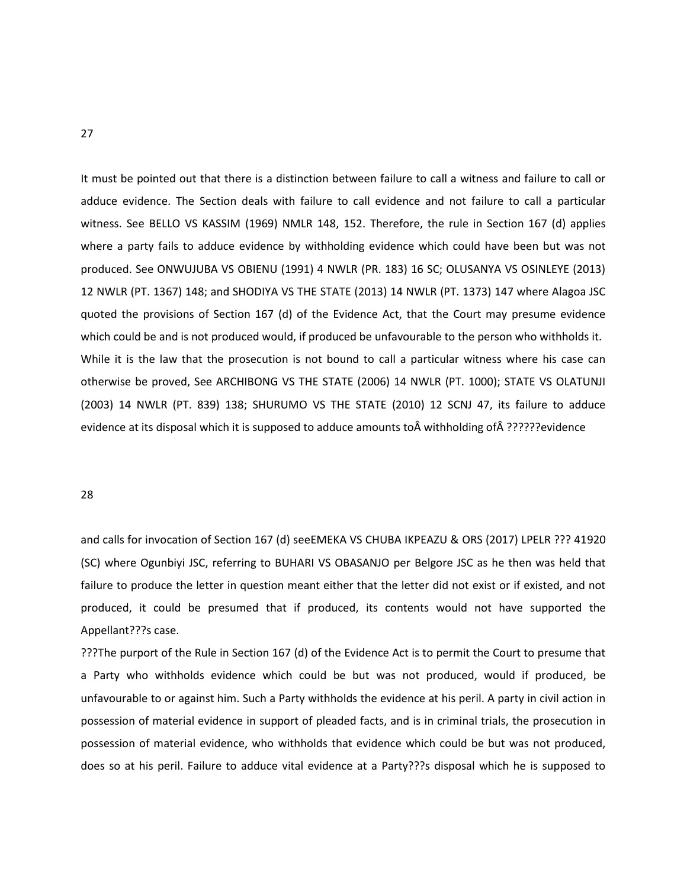It must be pointed out that there is a distinction between failure to call a witness and failure to call or adduce evidence. The Section deals with failure to call evidence and not failure to call a particular witness. See BELLO VS KASSIM (1969) NMLR 148, 152. Therefore, the rule in Section 167 (d) applies where a party fails to adduce evidence by withholding evidence which could have been but was not produced. See ONWUJUBA VS OBIENU (1991) 4 NWLR (PR. 183) 16 SC; OLUSANYA VS OSINLEYE (2013) 12 NWLR (PT. 1367) 148; and SHODIYA VS THE STATE (2013) 14 NWLR (PT. 1373) 147 where Alagoa JSC quoted the provisions of Section 167 (d) of the Evidence Act, that the Court may presume evidence which could be and is not produced would, if produced be unfavourable to the person who withholds it. While it is the law that the prosecution is not bound to call a particular witness where his case can otherwise be proved, See ARCHIBONG VS THE STATE (2006) 14 NWLR (PT. 1000); STATE VS OLATUNJI (2003) 14 NWLR (PT. 839) 138; SHURUMO VS THE STATE (2010) 12 SCNJ 47, its failure to adduce evidence at its disposal which it is supposed to adduce amounts to  $\hat{A}$  withholding of  $\hat{A}$  ??????evidence

#### 28

and calls for invocation of Section 167 (d) seeEMEKA VS CHUBA IKPEAZU & ORS (2017) LPELR ??? 41920 (SC) where Ogunbiyi JSC, referring to BUHARI VS OBASANJO per Belgore JSC as he then was held that failure to produce the letter in question meant either that the letter did not exist or if existed, and not produced, it could be presumed that if produced, its contents would not have supported the Appellant???s case.

???The purport of the Rule in Section 167 (d) of the Evidence Act is to permit the Court to presume that a Party who withholds evidence which could be but was not produced, would if produced, be unfavourable to or against him. Such a Party withholds the evidence at his peril. A party in civil action in possession of material evidence in support of pleaded facts, and is in criminal trials, the prosecution in possession of material evidence, who withholds that evidence which could be but was not produced, does so at his peril. Failure to adduce vital evidence at a Party???s disposal which he is supposed to

27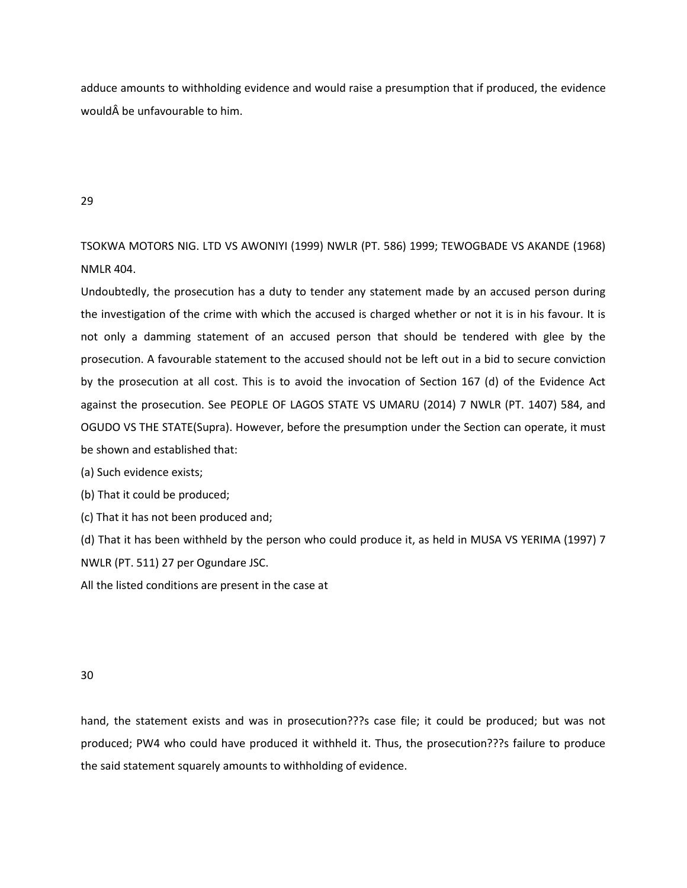adduce amounts to withholding evidence and would raise a presumption that if produced, the evidence would be unfavourable to him.

29

TSOKWA MOTORS NIG. LTD VS AWONIYI (1999) NWLR (PT. 586) 1999; TEWOGBADE VS AKANDE (1968) NMLR 404.

Undoubtedly, the prosecution has a duty to tender any statement made by an accused person during the investigation of the crime with which the accused is charged whether or not it is in his favour. It is not only a damming statement of an accused person that should be tendered with glee by the prosecution. A favourable statement to the accused should not be left out in a bid to secure conviction by the prosecution at all cost. This is to avoid the invocation of Section 167 (d) of the Evidence Act against the prosecution. See PEOPLE OF LAGOS STATE VS UMARU (2014) 7 NWLR (PT. 1407) 584, and OGUDO VS THE STATE(Supra). However, before the presumption under the Section can operate, it must be shown and established that:

(a) Such evidence exists;

(b) That it could be produced;

(c) That it has not been produced and;

(d) That it has been withheld by the person who could produce it, as held in MUSA VS YERIMA (1997) 7 NWLR (PT. 511) 27 per Ogundare JSC.

All the listed conditions are present in the case at

30

hand, the statement exists and was in prosecution???s case file; it could be produced; but was not produced; PW4 who could have produced it withheld it. Thus, the prosecution???s failure to produce the said statement squarely amounts to withholding of evidence.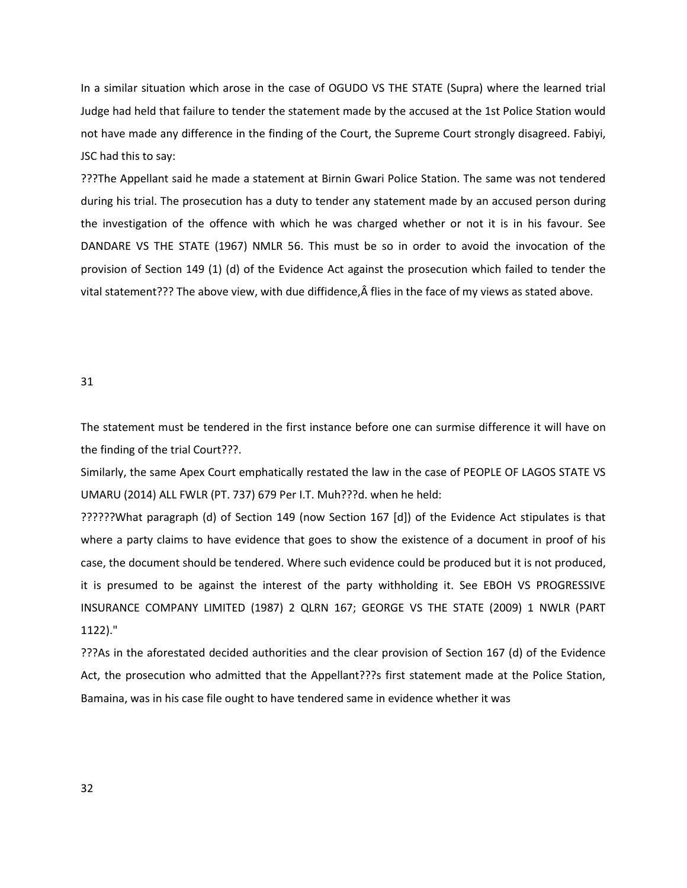In a similar situation which arose in the case of OGUDO VS THE STATE (Supra) where the learned trial Judge had held that failure to tender the statement made by the accused at the 1st Police Station would not have made any difference in the finding of the Court, the Supreme Court strongly disagreed. Fabiyi, JSC had this to say:

???The Appellant said he made a statement at Birnin Gwari Police Station. The same was not tendered during his trial. The prosecution has a duty to tender any statement made by an accused person during the investigation of the offence with which he was charged whether or not it is in his favour. See DANDARE VS THE STATE (1967) NMLR 56. This must be so in order to avoid the invocation of the provision of Section 149 (1) (d) of the Evidence Act against the prosecution which failed to tender the vital statement??? The above view, with due diffidence, $\hat{A}$  flies in the face of my views as stated above.

### 31

The statement must be tendered in the first instance before one can surmise difference it will have on the finding of the trial Court???.

Similarly, the same Apex Court emphatically restated the law in the case of PEOPLE OF LAGOS STATE VS UMARU (2014) ALL FWLR (PT. 737) 679 Per I.T. Muh???d. when he held:

??????What paragraph (d) of Section 149 (now Section 167 [d]) of the Evidence Act stipulates is that where a party claims to have evidence that goes to show the existence of a document in proof of his case, the document should be tendered. Where such evidence could be produced but it is not produced, it is presumed to be against the interest of the party withholding it. See EBOH VS PROGRESSIVE INSURANCE COMPANY LIMITED (1987) 2 QLRN 167; GEORGE VS THE STATE (2009) 1 NWLR (PART 1122)."

???As in the aforestated decided authorities and the clear provision of Section 167 (d) of the Evidence Act, the prosecution who admitted that the Appellant???s first statement made at the Police Station, Bamaina, was in his case file ought to have tendered same in evidence whether it was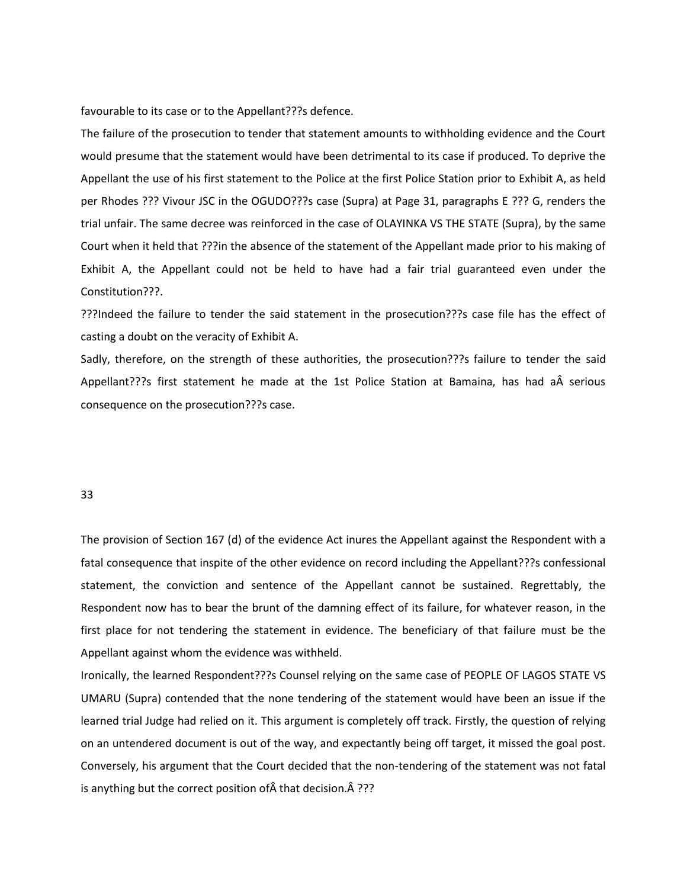favourable to its case or to the Appellant???s defence.

The failure of the prosecution to tender that statement amounts to withholding evidence and the Court would presume that the statement would have been detrimental to its case if produced. To deprive the Appellant the use of his first statement to the Police at the first Police Station prior to Exhibit A, as held per Rhodes ??? Vivour JSC in the OGUDO???s case (Supra) at Page 31, paragraphs E ??? G, renders the trial unfair. The same decree was reinforced in the case of OLAYINKA VS THE STATE (Supra), by the same Court when it held that ???in the absence of the statement of the Appellant made prior to his making of Exhibit A, the Appellant could not be held to have had a fair trial guaranteed even under the Constitution???.

???Indeed the failure to tender the said statement in the prosecution???s case file has the effect of casting a doubt on the veracity of Exhibit A.

Sadly, therefore, on the strength of these authorities, the prosecution???s failure to tender the said Appellant???s first statement he made at the 1st Police Station at Bamaina, has had a serious consequence on the prosecution???s case.

#### 33

The provision of Section 167 (d) of the evidence Act inures the Appellant against the Respondent with a fatal consequence that inspite of the other evidence on record including the Appellant???s confessional statement, the conviction and sentence of the Appellant cannot be sustained. Regrettably, the Respondent now has to bear the brunt of the damning effect of its failure, for whatever reason, in the first place for not tendering the statement in evidence. The beneficiary of that failure must be the Appellant against whom the evidence was withheld.

Ironically, the learned Respondent???s Counsel relying on the same case of PEOPLE OF LAGOS STATE VS UMARU (Supra) contended that the none tendering of the statement would have been an issue if the learned trial Judge had relied on it. This argument is completely off track. Firstly, the question of relying on an untendered document is out of the way, and expectantly being off target, it missed the goal post. Conversely, his argument that the Court decided that the non-tendering of the statement was not fatal is anything but the correct position of  $\hat{A}$  that decision.  $\hat{A}$  ???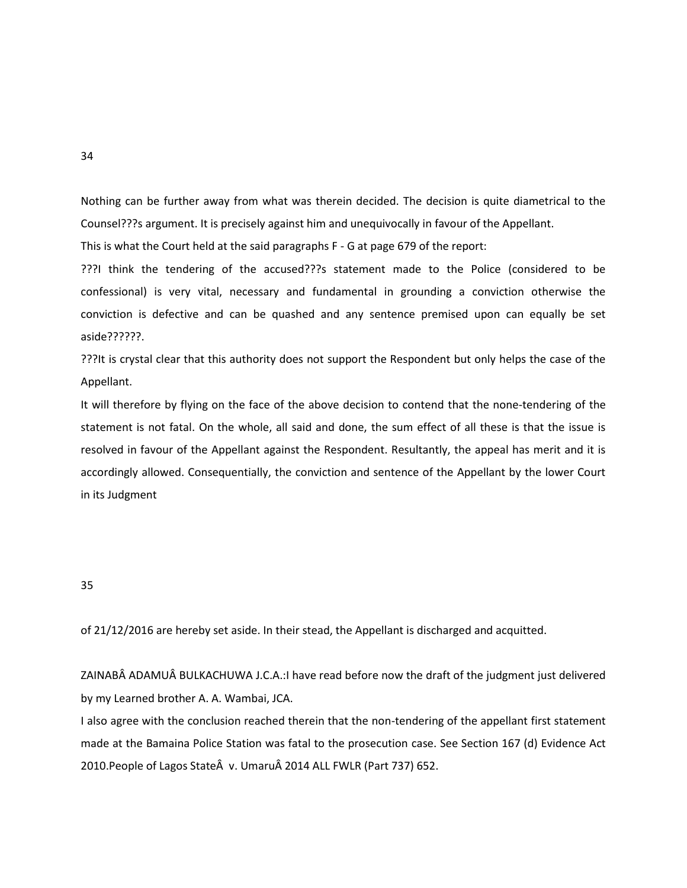Nothing can be further away from what was therein decided. The decision is quite diametrical to the Counsel???s argument. It is precisely against him and unequivocally in favour of the Appellant.

This is what the Court held at the said paragraphs F - G at page 679 of the report:

???I think the tendering of the accused???s statement made to the Police (considered to be confessional) is very vital, necessary and fundamental in grounding a conviction otherwise the conviction is defective and can be quashed and any sentence premised upon can equally be set aside??????.

???It is crystal clear that this authority does not support the Respondent but only helps the case of the Appellant.

It will therefore by flying on the face of the above decision to contend that the none-tendering of the statement is not fatal. On the whole, all said and done, the sum effect of all these is that the issue is resolved in favour of the Appellant against the Respondent. Resultantly, the appeal has merit and it is accordingly allowed. Consequentially, the conviction and sentence of the Appellant by the lower Court in its Judgment

35

of 21/12/2016 are hereby set aside. In their stead, the Appellant is discharged and acquitted.

ZAINABÂ ADAMUÂ BULKACHUWA J.C.A.:I have read before now the draft of the judgment just delivered by my Learned brother A. A. Wambai, JCA.

I also agree with the conclusion reached therein that the non-tendering of the appellant first statement made at the Bamaina Police Station was fatal to the prosecution case. See Section 167 (d) Evidence Act 2010.People of Lagos State v. Umaru 2014 ALL FWLR (Part 737) 652.

34